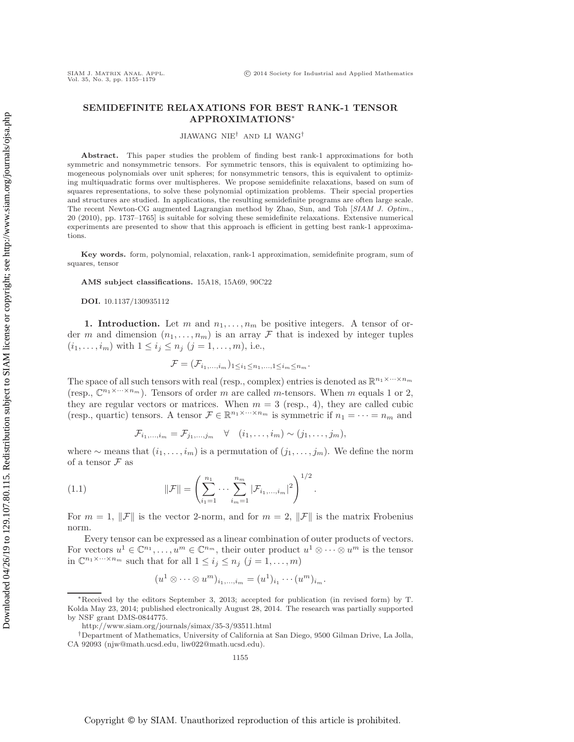# **SEMIDEFINITE RELAXATIONS FOR BEST RANK-1 TENSOR APPROXIMATIONS**∗

#### JIAWANG NIE† AND LI WANG†

**Abstract.** This paper studies the problem of finding best rank-1 approximations for both symmetric and nonsymmetric tensors. For symmetric tensors, this is equivalent to optimizing homogeneous polynomials over unit spheres; for nonsymmetric tensors, this is equivalent to optimizing multiquadratic forms over multispheres. We propose semidefinite relaxations, based on sum of squares representations, to solve these polynomial optimization problems. Their special properties and structures are studied. In applications, the resulting semidefinite programs are often large scale. The recent Newton-CG augmented Lagrangian method by Zhao, Sun, and Toh [*SIAM J. Optim.*, 20 (2010), pp. 1737–1765] is suitable for solving these semidefinite relaxations. Extensive numerical experiments are presented to show that this approach is efficient in getting best rank-1 approximations.

**Key words.** form, polynomial, relaxation, rank-1 approximation, semidefinite program, sum of squares, tensor

**AMS subject classifications.** 15A18, 15A69, 90C22

**DOI.** 10.1137/130935112

**1. Introduction.** Let m and  $n_1, \ldots, n_m$  be positive integers. A tensor of order m and dimension  $(n_1,\ldots,n_m)$  is an array F that is indexed by integer tuples  $(i_1,...,i_m)$  with  $1 \le i_j \le n_j$   $(j = 1,...,m)$ , i.e.,

$$
\mathcal{F} = (\mathcal{F}_{i_1,\ldots,i_m})_{1 \leq i_1 \leq n_1,\ldots,1 \leq i_m \leq n_m}.
$$

The space of all such tensors with real (resp., complex) entries is denoted as  $\mathbb{R}^{n_1 \times \cdots \times n_m}$ (resp.,  $\mathbb{C}^{n_1 \times \cdots \times n_m}$ ). Tensors of order m are called m-tensors. When m equals 1 or 2, they are regular vectors or matrices. When  $m = 3$  (resp., 4), they are called cubic (resp., quartic) tensors. A tensor  $\mathcal{F} \in \mathbb{R}^{n_1 \times \cdots \times n_m}$  is symmetric if  $n_1 = \cdots = n_m$  and

$$
\mathcal{F}_{i_1,\ldots,i_m} = \mathcal{F}_{j_1,\ldots,j_m} \quad \forall \quad (i_1,\ldots,i_m) \sim (j_1,\ldots,j_m),
$$

where ∼ means that  $(i_1,\ldots,i_m)$  is a permutation of  $(j_1,\ldots,j_m)$ . We define the norm of a tensor  $\mathcal F$  as

(1.1) 
$$
\|\mathcal{F}\| = \left(\sum_{i_1=1}^{n_1} \cdots \sum_{i_m=1}^{n_m} |\mathcal{F}_{i_1,\ldots,i_m}|^2\right)^{1/2}.
$$

For  $m = 1$ ,  $\|\mathcal{F}\|$  is the vector 2-norm, and for  $m = 2$ ,  $\|\mathcal{F}\|$  is the matrix Frobenius norm.

Every tensor can be expressed as a linear combination of outer products of vectors. For vectors  $u^1 \in \mathbb{C}^{n_1}, \ldots, u^m \in \mathbb{C}^{n_m}$ , their outer product  $u^1 \otimes \cdots \otimes u^m$  is the tensor in  $\mathbb{C}^{n_1 \times \cdots \times n_m}$  such that for all  $1 \leq i_j \leq n_j$   $(j = 1, \ldots, m)$ 

$$
(u1 \otimes \cdots \otimes um)i1,...,im = (u1)i1 \cdots (um)im.
$$

<sup>∗</sup>Received by the editors September 3, 2013; accepted for publication (in revised form) by T. Kolda May 23, 2014; published electronically August 28, 2014. The research was partially supported by NSF grant DMS-0844775.

<http://www.siam.org/journals/simax/35-3/93511.html>

<sup>†</sup>Department of Mathematics, University of California at San Diego, 9500 Gilman Drive, La Jolla, CA 92093 [\(njw@math.ucsd.edu,](mailto:njw@math.ucsd.edu) [liw022@math.ucsd.edu\)](mailto:liw022@math.ucsd.edu).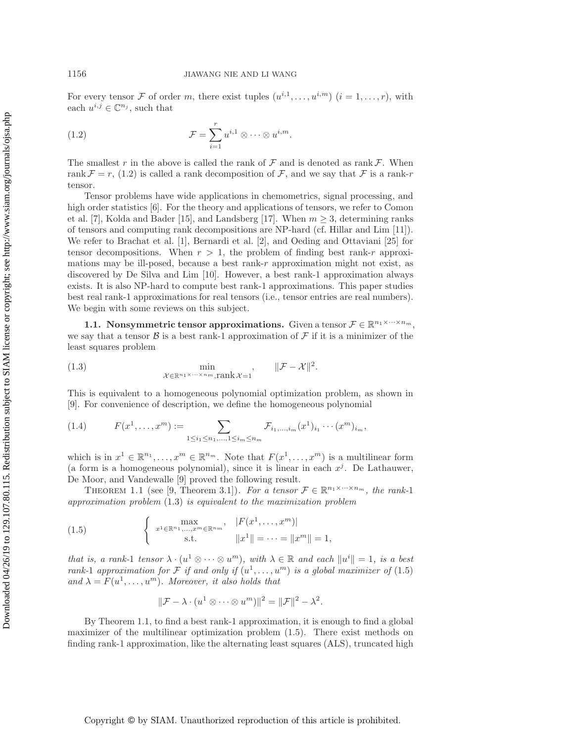<span id="page-1-0"></span>For every tensor F of order m, there exist tuples  $(u^{i,1},...,u^{i,m})$   $(i = 1,...,r)$ , with each  $u^{i,j} \in \mathbb{C}^{n_j}$ , such that

(1.2) 
$$
\mathcal{F} = \sum_{i=1}^r u^{i,1} \otimes \cdots \otimes u^{i,m}.
$$

The smallest r in the above is called the rank of  $\mathcal F$  and is denoted as rank  $\mathcal F$ . When rank  $\mathcal{F} = r$ , [\(1.2\)](#page-1-0) is called a rank decomposition of  $\mathcal{F}$ , and we say that  $\mathcal{F}$  is a rank-r tensor.

Tensor problems have wide applications in chemometrics, signal processing, and high order statistics [\[6\]](#page-23-0). For the theory and applications of tensors, we refer to Comon et al. [\[7\]](#page-23-1), Kolda and Bader [\[15\]](#page-23-2), and Landsberg [\[17\]](#page-23-3). When  $m \geq 3$ , determining ranks of tensors and computing rank decompositions are NP-hard (cf. Hillar and Lim [\[11\]](#page-23-4)). We refer to Brachat et al. [\[1\]](#page-23-5), Bernardi et al. [\[2\]](#page-23-6), and Oeding and Ottaviani [\[25\]](#page-23-7) for tensor decompositions. When  $r > 1$ , the problem of finding best rank-r approximations may be ill-posed, because a best rank- $r$  approximation might not exist, as discovered by De Silva and Lim [\[10\]](#page-23-8). However, a best rank-1 approximation always exists. It is also NP-hard to compute best rank-1 approximations. This paper studies best real rank-1 approximations for real tensors (i.e., tensor entries are real numbers). We begin with some reviews on this subject.

**1.1. Nonsymmetric tensor approximations.** Given a tensor  $\mathcal{F} \in \mathbb{R}^{n_1 \times \cdots \times n_m}$ , we say that a tensor  $\beta$  is a best rank-1 approximation of  $\mathcal F$  if it is a minimizer of the least squares problem

<span id="page-1-1"></span>(1.3) 
$$
\min_{\mathcal{X} \in \mathbb{R}^{n_1 \times \dots \times n_m}, \text{rank } \mathcal{X} = 1} , \qquad \|\mathcal{F} - \mathcal{X}\|^2.
$$

This is equivalent to a homogeneous polynomial optimization problem, as shown in [\[9\]](#page-23-9). For convenience of description, we define the homogeneous polynomial

$$
(1.4) \tF(x1,...,xm) := \sum_{1 \leq i_1 \leq n_1,...,1 \leq i_m \leq n_m} \mathcal{F}_{i_1,...,i_m}(x^1)_{i_1} \cdots (x^m)_{i_m},
$$

which is in  $x^1 \in \mathbb{R}^{n_1}, \ldots, x^m \in \mathbb{R}^{n_m}$ . Note that  $F(x^1, \ldots, x^m)$  is a multilinear form (a form is a homogeneous polynomial), since it is linear in each  $x^j$ . De Lathauwer, De Moor, and Vandewalle [\[9\]](#page-23-9) proved the following result.

<span id="page-1-3"></span>THEOREM 1.1 (see [\[9,](#page-23-9) Theorem 3.1]). *For a tensor*  $\mathcal{F} \in \mathbb{R}^{n_1 \times \cdots \times n_m}$ , *the rank-*1 *approximation problem* [\(1.3\)](#page-1-1) *is equivalent to the maximization problem*

(1.5) 
$$
\begin{cases}\n\max_{x^1 \in \mathbb{R}^{n_1}, \dots, x^m \in \mathbb{R}^{n_m}} & |F(x^1, \dots, x^m)| \\
\text{s.t.} & \|x^1\| = \dots = \|x^m\| = 1,\n\end{cases}
$$

*that is, a rank-1 tensor*  $\lambda \cdot (u^1 \otimes \cdots \otimes u^m)$ *, with*  $\lambda \in \mathbb{R}$  and each  $||u^i|| = 1$ *, is a best rank-1 approximation for* F *if and only if*  $(u^1, \ldots, u^m)$  *is a global maximizer of* [\(1.5\)](#page-1-2) and  $\lambda = F(u^1, \ldots, u^m)$ *. Moreover, it also holds that* 

<span id="page-1-4"></span><span id="page-1-2"></span>
$$
\|\mathcal{F} - \lambda \cdot (u^1 \otimes \cdots \otimes u^m)\|^2 = \|\mathcal{F}\|^2 - \lambda^2.
$$

By Theorem [1.1,](#page-1-3) to find a best rank-1 approximation, it is enough to find a global maximizer of the multilinear optimization problem [\(1.5\)](#page-1-2). There exist methods on finding rank-1 approximation, like the alternating least squares (ALS), truncated high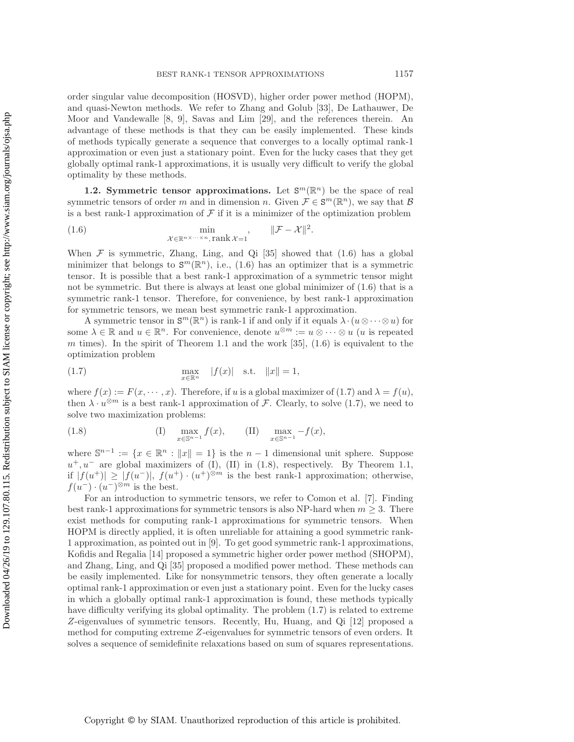order singular value decomposition (HOSVD), higher order power method (HOPM), and quasi-Newton methods. We refer to Zhang and Golub [\[33\]](#page-24-0), De Lathauwer, De Moor and Vandewalle [\[8,](#page-23-10) [9\]](#page-23-9), Savas and Lim [\[29\]](#page-24-1), and the references therein. An advantage of these methods is that they can be easily implemented. These kinds of methods typically generate a sequence that converges to a locally optimal rank-1 approximation or even just a stationary point. Even for the lucky cases that they get globally optimal rank-1 approximations, it is usually very difficult to verify the global optimality by these methods.

**1.2. Symmetric tensor approximations.** Let  $S^m(\mathbb{R}^n)$  be the space of real symmetric tensors of order m and in dimension n. Given  $\mathcal{F} \in \mathbb{S}^m(\mathbb{R}^n)$ , we say that  $\mathcal{B}$ is a best rank-1 approximation of  $\mathcal F$  if it is a minimizer of the optimization problem

<span id="page-2-0"></span>(1.6) 
$$
\min_{\mathcal{X} \in \mathbb{R}^{n \times \cdots \times n}, \text{rank } \mathcal{X} = 1} , \qquad \|\mathcal{F} - \mathcal{X}\|^2.
$$

When  $\mathcal F$  is symmetric, Zhang, Ling, and Qi [\[35\]](#page-24-2) showed that [\(1.6\)](#page-2-0) has a global minimizer that belongs to  $\mathbf{S}^m(\mathbb{R}^n)$ , i.e., [\(1.6\)](#page-2-0) has an optimizer that is a symmetric tensor. It is possible that a best rank-1 approximation of a symmetric tensor might not be symmetric. But there is always at least one global minimizer of  $(1.6)$  that is a symmetric rank-1 tensor. Therefore, for convenience, by best rank-1 approximation for symmetric tensors, we mean best symmetric rank-1 approximation.

A symmetric tensor in  $\mathbf{S}^m(\mathbb{R}^n)$  is rank-1 if and only if it equals  $\lambda \cdot (u \otimes \cdots \otimes u)$  for some  $\lambda \in \mathbb{R}$  and  $u \in \mathbb{R}^n$ . For convenience, denote  $u^{\otimes m} := u \otimes \cdots \otimes u$  (*u* is repeated m times). In the spirit of Theorem [1.1](#page-1-3) and the work  $[35]$ ,  $(1.6)$  is equivalent to the optimization problem

<span id="page-2-1"></span>(1.7) 
$$
\max_{x \in \mathbb{R}^n} |f(x)| \text{ s.t. } ||x|| = 1,
$$

where  $f(x) := F(x, \dots, x)$ . Therefore, if u is a global maximizer of [\(1.7\)](#page-2-1) and  $\lambda = f(u)$ , then  $\lambda \cdot u^{\otimes m}$  is a best rank-1 approximation of F. Clearly, to solve [\(1.7\)](#page-2-1), we need to solve two maximization problems:

<span id="page-2-2"></span>(1.8) 
$$
\max_{x \in \mathbb{S}^{n-1}} f(x), \qquad \text{(II)} \quad \max_{x \in \mathbb{S}^{n-1}} -f(x),
$$

where  $\mathbb{S}^{n-1} := \{x \in \mathbb{R}^n : ||x|| = 1\}$  is the  $n-1$  dimensional unit sphere. Suppose  $u^+, u^-$  are global maximizers of (I), (II) in [\(1.8\)](#page-2-2), respectively. By Theorem [1.1,](#page-1-3) if  $|f(u^+)| \ge |f(u^-)|$ ,  $f(u^+) \cdot (u^+)^{\otimes m}$  is the best rank-1 approximation; otherwise,  $f(u^-) \cdot (u^-)^{\otimes m}$  is the best.

For an introduction to symmetric tensors, we refer to Comon et al. [\[7\]](#page-23-1). Finding best rank-1 approximations for symmetric tensors is also NP-hard when  $m \geq 3$ . There exist methods for computing rank-1 approximations for symmetric tensors. When HOPM is directly applied, it is often unreliable for attaining a good symmetric rank-1 approximation, as pointed out in [\[9\]](#page-23-9). To get good symmetric rank-1 approximations, Kofidis and Regalia [\[14\]](#page-23-11) proposed a symmetric higher order power method (SHOPM), and Zhang, Ling, and Qi [\[35\]](#page-24-2) proposed a modified power method. These methods can be easily implemented. Like for nonsymmetric tensors, they often generate a locally optimal rank-1 approximation or even just a stationary point. Even for the lucky cases in which a globally optimal rank-1 approximation is found, these methods typically have difficulty verifying its global optimality. The problem [\(1.7\)](#page-2-1) is related to extreme Z-eigenvalues of symmetric tensors. Recently, Hu, Huang, and Qi [\[12\]](#page-23-12) proposed a method for computing extreme Z-eigenvalues for symmetric tensors of even orders. It solves a sequence of semidefinite relaxations based on sum of squares representations.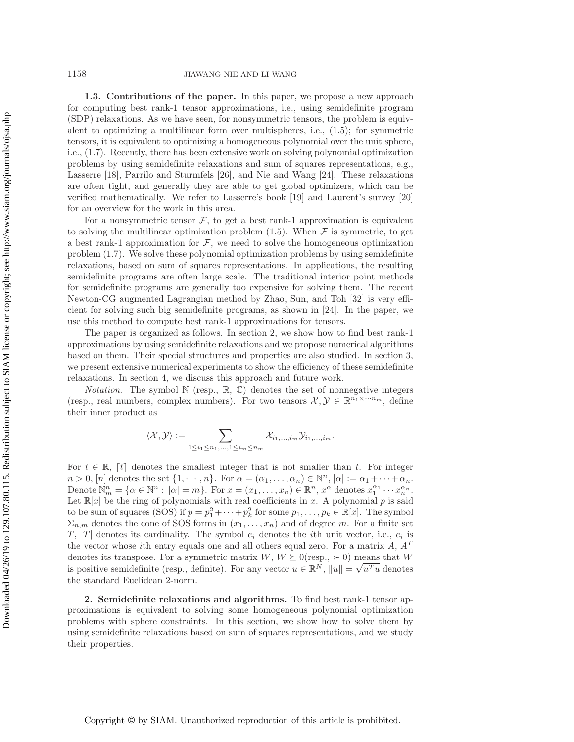**1.3. Contributions of the paper.** In this paper, we propose a new approach for computing best rank-1 tensor approximations, i.e., using semidefinite program (SDP) relaxations. As we have seen, for nonsymmetric tensors, the problem is equivalent to optimizing a multilinear form over multispheres, i.e., [\(1.5\)](#page-1-2); for symmetric tensors, it is equivalent to optimizing a homogeneous polynomial over the unit sphere, i.e., [\(1.7\)](#page-2-1). Recently, there has been extensive work on solving polynomial optimization problems by using semidefinite relaxations and sum of squares representations, e.g., Lasserre [\[18\]](#page-23-13), Parrilo and Sturmfels [\[26\]](#page-24-3), and Nie and Wang [\[24\]](#page-23-14). These relaxations are often tight, and generally they are able to get global optimizers, which can be verified mathematically. We refer to Lasserre's book [\[19\]](#page-23-15) and Laurent's survey [\[20\]](#page-23-16) for an overview for the work in this area.

For a nonsymmetric tensor  $F$ , to get a best rank-1 approximation is equivalent to solving the multilinear optimization problem [\(1.5\)](#page-1-2). When  $\mathcal F$  is symmetric, to get a best rank-1 approximation for  $\mathcal F$ , we need to solve the homogeneous optimization problem [\(1.7\)](#page-2-1). We solve these polynomial optimization problems by using semidefinite relaxations, based on sum of squares representations. In applications, the resulting semidefinite programs are often large scale. The traditional interior point methods for semidefinite programs are generally too expensive for solving them. The recent Newton-CG augmented Lagrangian method by Zhao, Sun, and Toh [\[32\]](#page-24-4) is very efficient for solving such big semidefinite programs, as shown in [\[24\]](#page-23-14). In the paper, we use this method to compute best rank-1 approximations for tensors.

The paper is organized as follows. In section [2,](#page-3-0) we show how to find best rank-1 approximations by using semidefinite relaxations and we propose numerical algorithms based on them. Their special structures and properties are also studied. In section [3,](#page-10-0) we present extensive numerical experiments to show the efficiency of these semidefinite relaxations. In section [4,](#page-22-0) we discuss this approach and future work.

*Notation*. The symbol  $\mathbb N$  (resp.,  $\mathbb R$ ,  $\mathbb C$ ) denotes the set of nonnegative integers (resp., real numbers, complex numbers). For two tensors  $\mathcal{X}, \mathcal{Y} \in \mathbb{R}^{n_1 \times \cdots n_m}$ , define their inner product as

$$
\langle \mathcal{X}, \mathcal{Y} \rangle := \sum_{1 \leq i_1 \leq n_1, \ldots, 1 \leq i_m \leq n_m} \mathcal{X}_{i_1, \ldots, i_m} \mathcal{Y}_{i_1, \ldots, i_m}.
$$

For  $t \in \mathbb{R}$ , [t] denotes the smallest integer that is not smaller than t. For integer  $n > 0$ ,  $[n]$  denotes the set  $\{1, \dots, n\}$ . For  $\alpha = (\alpha_1, \dots, \alpha_n) \in \mathbb{N}^n$ ,  $|\alpha| := \alpha_1 + \dots + \alpha_n$ . Denote  $\mathbb{N}_m^n = \{ \alpha \in \mathbb{N}^n : |\alpha| = m \}.$  For  $x = (x_1, \ldots, x_n) \in \mathbb{R}^n$ ,  $x^\alpha$  denotes  $x_1^{\alpha_1} \cdots x_n^{\alpha_n}$ . Let  $\mathbb{R}[x]$  be the ring of polynomials with real coefficients in x. A polynomial p is said to be sum of squares (SOS) if  $p = p_1^2 + \cdots + p_k^2$  for some  $p_1, \ldots, p_k \in \mathbb{R}[x]$ . The symbol  $\Sigma_{n,m}$  denotes the cone of SOS forms in  $(x_1,\ldots,x_n)$  and of degree m. For a finite set T, |T| denotes its cardinality. The symbol  $e_i$  denotes the *i*th unit vector, i.e.,  $e_i$  is the vector whose *i*th entry equals one and all others equal zero. For a matrix  $A$ ,  $A<sup>T</sup>$ denotes its transpose. For a symmetric matrix  $W, W \succeq 0$  (resp.,  $\succ 0$ ) means that W denotes its transpose. For a symmetric matrix  $W$ ,  $W \subseteq 0$  (resp.,  $\ge 0$ ) means that  $W$  is positive semidefinite (resp., definite). For any vector  $u \in \mathbb{R}^N$ ,  $||u|| = \sqrt{u^T u}$  denotes the standard Euclidean 2-norm.

<span id="page-3-0"></span>**2. Semidefinite relaxations and algorithms.** To find best rank-1 tensor approximations is equivalent to solving some homogeneous polynomial optimization problems with sphere constraints. In this section, we show how to solve them by using semidefinite relaxations based on sum of squares representations, and we study their properties.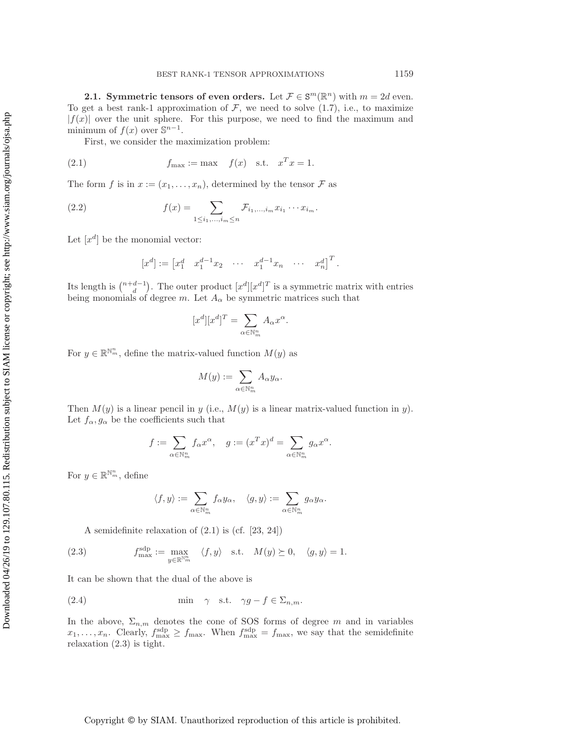**2.1.** Symmetric tensors of even orders. Let  $\mathcal{F} \in \mathbb{S}^m(\mathbb{R}^n)$  with  $m = 2d$  even. To get a best rank-1 approximation of  $\mathcal{F}$ , we need to solve [\(1.7\)](#page-2-1), i.e., to maximize  $|f(x)|$  over the unit sphere. For this purpose, we need to find the maximum and minimum of  $f(x)$  over  $\mathbb{S}^{n-1}$ .

First, we consider the maximization problem:

(2.1) 
$$
f_{\text{max}} := \max \quad f(x) \quad \text{s.t.} \quad x^T x = 1.
$$

The form f is in  $x := (x_1, \ldots, x_n)$ , determined by the tensor F as

(2.2) 
$$
f(x) = \sum_{1 \leq i_1, ..., i_m \leq n} \mathcal{F}_{i_1, ..., i_m} x_{i_1} \cdots x_{i_m}.
$$

Let  $[x^d]$  be the monomial vector:

<span id="page-4-0"></span>
$$
[x^d] := [x_1^d \quad x_1^{d-1} x_2 \quad \cdots \quad x_1^{d-1} x_n \quad \cdots \quad x_n^d]^{T}.
$$

Its length is  $\binom{n+d-1}{d}$ . The outer product  $[x^d][x^d]^T$  is a symmetric matrix with entries being monomials of degree m. Let  $A_{\alpha}$  be symmetric matrices such that

<span id="page-4-3"></span>
$$
[x^d][x^d]^T = \sum_{\alpha \in \mathbb{N}_m^n} A_{\alpha} x^{\alpha}.
$$

For  $y \in \mathbb{R}^{\mathbb{N}_m^n}$ , define the matrix-valued function  $M(y)$  as

$$
M(y) := \sum_{\alpha \in \mathbb{N}_m^n} A_\alpha y_\alpha.
$$

Then  $M(y)$  is a linear pencil in y (i.e.,  $M(y)$  is a linear matrix-valued function in y). Let  $f_{\alpha}, g_{\alpha}$  be the coefficients such that

$$
f:=\sum_{\alpha\in\mathbb{N}_m^n}f_\alpha x^\alpha,\quad g:=(x^Tx)^d=\sum_{\alpha\in\mathbb{N}_m^n}g_\alpha x^\alpha.
$$

For  $y \in \mathbb{R}^{\mathbb{N}_m^n}$ , define

<span id="page-4-2"></span><span id="page-4-1"></span>
$$
\langle f, y \rangle := \sum_{\alpha \in \mathbb{N}_m^n} f_{\alpha} y_{\alpha}, \quad \langle g, y \rangle := \sum_{\alpha \in \mathbb{N}_m^n} g_{\alpha} y_{\alpha}.
$$

A semidefinite relaxation of [\(2.1\)](#page-4-0) is (cf. [\[23,](#page-23-17) [24\]](#page-23-14))

(2.3) 
$$
f_{\max}^{\text{sdp}} := \max_{y \in \mathbb{R}^{\mathbb{N}_m^n}} \langle f, y \rangle \quad \text{s.t.} \quad M(y) \succeq 0, \quad \langle g, y \rangle = 1.
$$

It can be shown that the dual of the above is

(2.4) 
$$
\min \quad \gamma \quad \text{s.t.} \quad \gamma g - f \in \Sigma_{n,m}.
$$

In the above,  $\Sigma_{n,m}$  denotes the cone of SOS forms of degree m and in variables  $x_1,\ldots,x_n$ . Clearly,  $f_{\text{max}}^{\text{slp}} \geq f_{\text{max}}$ . When  $f_{\text{max}}^{\text{slp}} = f_{\text{max}}$ , we say that the semidefinite relaxation [\(2.3\)](#page-4-1) is tight.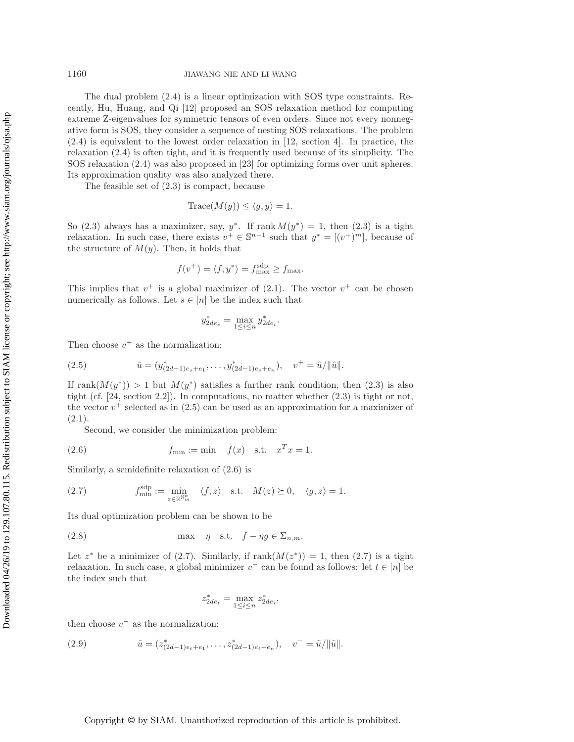The dual problem [\(2.4\)](#page-4-2) is a linear optimization with SOS type constraints. Recently, Hu, Huang, and Qi [\[12\]](#page-23-12) proposed an SOS relaxation method for computing extreme Z-eigenvalues for symmetric tensors of even orders. Since not every nonnegative form is SOS, they consider a sequence of nesting SOS relaxations. The problem [\(2.4\)](#page-4-2) is equivalent to the lowest order relaxation in [\[12,](#page-23-12) section [4\]](#page-22-0). In practice, the relaxation [\(2.4\)](#page-4-2) is often tight, and it is frequently used because of its simplicity. The SOS relaxation [\(2.4\)](#page-4-2) was also proposed in [\[23\]](#page-23-17) for optimizing forms over unit spheres. Its approximation quality was also analyzed there.

The feasible set of [\(2.3\)](#page-4-1) is compact, because

$$
Trace(M(y)) \le \langle g, y \rangle = 1.
$$

So [\(2.3\)](#page-4-1) always has a maximizer, say,  $y^*$ . If rank  $M(y^*) = 1$ , then (2.3) is a tight relaxation. In such case, there exists  $v^+ \in \mathbb{S}^{n-1}$  such that  $y^* = [(v^+)^m]$ , because of the structure of  $M(y)$ . Then, it holds that

$$
f(v^+) = \langle f, y^* \rangle = f_{\text{max}}^{\text{sdp}} \ge f_{\text{max}}.
$$

This implies that  $v^+$  is a global maximizer of [\(2.1\)](#page-4-0). The vector  $v^+$  can be chosen numerically as follows. Let  $s \in [n]$  be the index such that

<span id="page-5-1"></span><span id="page-5-0"></span>
$$
y_{2de_s}^* = \max_{1 \le i \le n} y_{2de_i}^*.
$$

Then choose  $v^+$  as the normalization:

(2.5) 
$$
\hat{u} = (y_{(2d-1)e_s+e_1}^*, \dots, y_{(2d-1)e_s+e_n}^*), \quad v^+ = \hat{u}/\|\hat{u}\|.
$$

If rank $(M(y^*)) > 1$  but  $M(y^*)$  satisfies a further rank condition, then [\(2.3\)](#page-4-1) is also tight (cf.  $[24, \text{section } 2.2]$  $[24, \text{section } 2.2]$ ). In computations, no matter whether  $(2.3)$  is tight or not, the vector  $v^+$  selected as in [\(2.5\)](#page-5-0) can be used as an approximation for a maximizer of  $(2.1).$  $(2.1).$ 

Second, we consider the minimization problem:

(2.6) 
$$
f_{\min} := \min \quad f(x) \quad \text{s.t.} \quad x^T x = 1.
$$

Similarly, a semidefinite relaxation of [\(2.6\)](#page-5-1) is

(2.7) 
$$
f_{\min}^{\text{sdp}} := \min_{z \in \mathbb{R}^{\mathbb{N}_m^n}} \langle f, z \rangle \quad \text{s.t.} \quad M(z) \succeq 0, \quad \langle g, z \rangle = 1.
$$

Its dual optimization problem can be shown to be

(2.8) 
$$
\max \quad \eta \quad \text{s.t.} \quad f - \eta g \in \Sigma_{n,m}.
$$

Let  $z^*$  be a minimizer of [\(2.7\)](#page-5-2). Similarly, if  $\text{rank}(M(z^*)) = 1$ , then (2.7) is a tight relaxation. In such case, a global minimizer  $v^-$  can be found as follows: let  $t \in [n]$  be the index such that

<span id="page-5-3"></span><span id="page-5-2"></span>
$$
z_{2de_i}^* = \max_{1 \le i \le n} z_{2de_i}^*,
$$

then choose  $v^-$  as the normalization:

(2.9) 
$$
\tilde{u} = (z_{(2d-1)e_t + e_1}^*, \dots, z_{(2d-1)e_t + e_n}^*), \quad v^- = \tilde{u}/\|\tilde{u}\|.
$$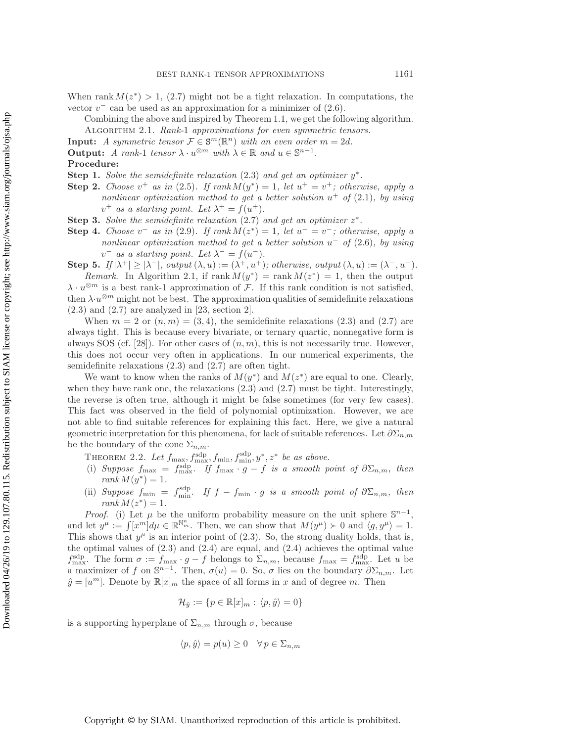When rank  $M(z^*) > 1$ , [\(2.7\)](#page-5-2) might not be a tight relaxation. In computations, the vector  $v^-$  can be used as an approximation for a minimizer of  $(2.6)$ .

- <span id="page-6-0"></span>Combining the above and inspired by Theorem [1.1,](#page-1-3) we get the following algorithm. Algorithm 2.1. *Rank-*1 *approximations for even symmetric tensors.*
- **Input:** *A symmetric tensor*  $\mathcal{F} \in \mathbf{S}^m(\mathbb{R}^n)$  *with an even order*  $m = 2d$ *.*
- **Output:** *A rank-1 tensor*  $\lambda \cdot u^{\otimes m}$  *with*  $\lambda \in \mathbb{R}$  *and*  $u \in \mathbb{S}^{n-1}$ *.*

## **Procedure:**

- **Step 1.** *Solve the semidefinite relaxation* [\(2.3\)](#page-4-1) *and get an optimizer* y∗*.*
- **Step 2.** *Choose*  $v^+$  *as in* [\(2.5\)](#page-5-0)*.* If  $rank M(y^*) = 1$ *, let*  $u^+ = v^+$ *; otherwise, apply a nonlinear optimization method to get a better solution*  $u^+$  *of* [\(2.1\)](#page-4-0)*, by using*  $v^+$  *as a starting point. Let*  $\lambda^+ = f(u^+).$
- **Step 3.** *Solve the semidefinite relaxation* [\(2.7\)](#page-5-2) *and get an optimizer* z∗*.*
- **Step 4.** *Choose*  $v^-$  *as in* [\(2.9\)](#page-5-3)*.* If  $rank M(z^*) = 1$ *, let*  $u^- = v^-$ *; otherwise, apply a nonlinear optimization method to get a better solution* u<sup>−</sup> *of* [\(2.6\)](#page-5-1)*, by using*  $v^-$  *as a starting point. Let*  $\lambda^- = f(u^-)$ .

**Step 5.** *If*  $|\lambda^+| \geq |\lambda^-|$ *, output*  $(\lambda, u) := (\lambda^+, u^+)$ *; otherwise, output*  $(\lambda, u) := (\lambda^-, u^-)$ . *Remark.* In Algorithm [2.1,](#page-6-0) if  $\text{rank }M(y^*) = \text{rank }M(z^*) = 1$ , then the output

 $\lambda \cdot u^{\otimes m}$  is a best rank-1 approximation of F. If this rank condition is not satisfied, then  $\lambda \cdot u^{\otimes m}$  might not be best. The approximation qualities of semidefinite relaxations  $(2.3)$  and  $(2.7)$  are analyzed in [\[23,](#page-23-17) section [2\]](#page-3-0).

When  $m = 2$  or  $(n, m) = (3, 4)$ , the semidefinite relaxations  $(2.3)$  and  $(2.7)$  are always tight. This is because every bivariate, or ternary quartic, nonnegative form is always SOS (cf. [\[28\]](#page-24-5)). For other cases of  $(n, m)$ , this is not necessarily true. However, this does not occur very often in applications. In our numerical experiments, the semidefinite relaxations [\(2.3\)](#page-4-1) and [\(2.7\)](#page-5-2) are often tight.

We want to know when the ranks of  $M(y^*)$  and  $M(z^*)$  are equal to one. Clearly, when they have rank one, the relaxations  $(2.3)$  and  $(2.7)$  must be tight. Interestingly, the reverse is often true, although it might be false sometimes (for very few cases). This fact was observed in the field of polynomial optimization. However, we are not able to find suitable references for explaining this fact. Here, we give a natural geometric interpretation for this phenomena, for lack of suitable references. Let  $\partial \Sigma_{n,m}$ be the boundary of the cone  $\Sigma_{n,m}$ .

<span id="page-6-1"></span>THEOREM 2.2. Let  $f_{\text{max}}, f_{\text{max}}^{\text{sdp}}, f_{\text{min}}, f_{\text{min}}^{\text{sdp}}, y^*, z^*$  be as above.

- (i) *Suppose*  $f_{\text{max}} = f_{\text{max}}^{\text{slap}}$ . If  $f_{\text{max}} \cdot g f$  *is a smooth point of*  $\partial \Sigma_{n,m}$ , then  $rank M(y^*)=1$ .
- (ii) Suppose  $f_{\min} = f_{\min}^{\text{sdp}}$ . If  $f f_{\min} \cdot g$  is a smooth point of  $\partial \Sigma_{n,m}$ , then  $rank M(z^*)=1$ .

*Proof.* (i) Let  $\mu$  be the uniform probability measure on the unit sphere  $\mathbb{S}^{n-1}$ . and let  $y^{\mu} := \int [x^m] d\mu \in \mathbb{R}^{\mathbb{N}_m^n}$ . Then, we can show that  $M(y^{\mu}) \succ 0$  and  $\langle g, y^{\mu} \rangle = 1$ . This shows that  $y^{\mu}$  is an interior point of [\(2.3\)](#page-4-1). So, the strong duality holds, that is, the optimal values of  $(2.3)$  and  $(2.4)$  are equal, and  $(2.4)$  achieves the optimal value  $f_{\text{max}}^{\text{sdp}}$ . The form  $\sigma := f_{\text{max}} \cdot g - f$  belongs to  $\Sigma_{n,m}$ , because  $f_{\text{max}} = f_{\text{max}}^{\text{sdp}}$ . Let u be a maximizer of f on  $\mathbb{S}^{n-1}$ . Then,  $\sigma(u) = 0$ . So,  $\sigma$  lies on the boundary  $\partial \Sigma_{n,m}$ . Let  $\hat{y} = [u^m]$ . Denote by  $\mathbb{R}[x]_m$  the space of all forms in x and of degree m. Then

$$
\mathcal{H}_{\hat{y}} := \{ p \in \mathbb{R}[x]_m : \langle p, \hat{y} \rangle = 0 \}
$$

is a supporting hyperplane of  $\Sigma_{n,m}$  through  $\sigma$ , because

$$
\langle p, \hat{y} \rangle = p(u) \ge 0 \quad \forall \, p \in \Sigma_{n,m}
$$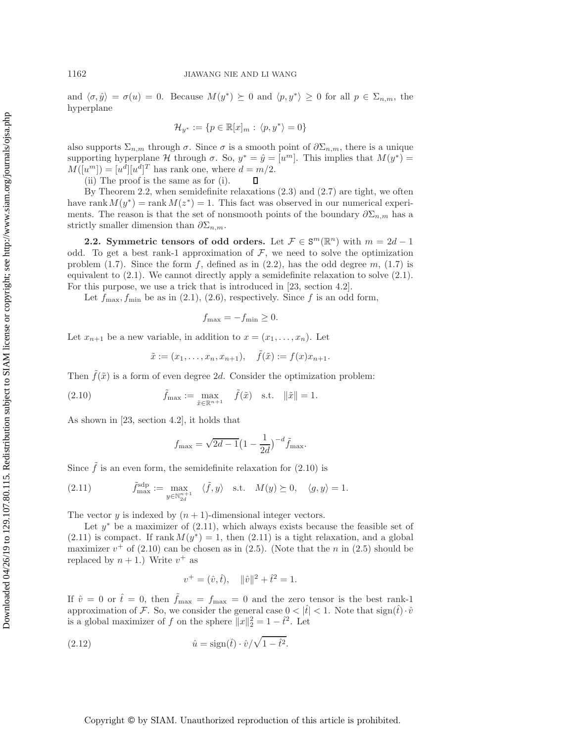and  $\langle \sigma, \hat{y} \rangle = \sigma(u) = 0$ . Because  $M(y^*) \succeq 0$  and  $\langle p, y^* \rangle \geq 0$  for all  $p \in \Sigma_{n,m}$ , the hyperplane

$$
\mathcal{H}_{y^*} := \{ p \in \mathbb{R}[x]_m : \langle p, y^* \rangle = 0 \}
$$

also supports  $\Sigma_{n,m}$  through  $\sigma$ . Since  $\sigma$  is a smooth point of  $\partial \Sigma_{n,m}$ , there is a unique supporting hyperplane H through  $\sigma$ . So,  $y^* = \hat{y} = [u^m]$ . This implies that  $M(y^*) =$  $M([u^m]) = [u^{\tilde{d}}][u^{\tilde{d}}]^T$  has rank one, where  $d = m/2$ .

(ii) The proof is the same as for (i). О

By Theorem [2.2,](#page-6-1) when semidefinite relaxations  $(2.3)$  and  $(2.7)$  are tight, we often have rank  $M(y^*) = \text{rank } M(z^*) = 1$ . This fact was observed in our numerical experiments. The reason is that the set of nonsmooth points of the boundary  $\partial \Sigma_{n,m}$  has a strictly smaller dimension than  $\partial \Sigma_{n,m}$ .

**2.2. Symmetric tensors of odd orders.** Let  $\mathcal{F} \in \mathbb{S}^m(\mathbb{R}^n)$  with  $m = 2d - 1$ odd. To get a best rank-1 approximation of  $\mathcal{F}$ , we need to solve the optimization problem [\(1.7\)](#page-2-1). Since the form f, defined as in  $(2.2)$ , has the odd degree m,  $(1.7)$  is equivalent to [\(2.1\)](#page-4-0). We cannot directly apply a semidefinite relaxation to solve [\(2.1\)](#page-4-0). For this purpose, we use a trick that is introduced in [\[23,](#page-23-17) section 4.2].

Let  $f_{\text{max}}, f_{\text{min}}$  be as in [\(2.1\)](#page-4-0), [\(2.6\)](#page-5-1), respectively. Since f is an odd form,

<span id="page-7-0"></span>
$$
f_{\max} = -f_{\min} \ge 0.
$$

Let  $x_{n+1}$  be a new variable, in addition to  $x = (x_1, \ldots, x_n)$ . Let

$$
\tilde{x} := (x_1, \ldots, x_n, x_{n+1}), \quad \tilde{f}(\tilde{x}) := f(x)x_{n+1}.
$$

Then  $\tilde{f}(\tilde{x})$  is a form of even degree 2d. Consider the optimization problem:

(2.10) 
$$
\tilde{f}_{\max} := \max_{\tilde{x} \in \mathbb{R}^{n+1}} \quad \tilde{f}(\tilde{x}) \quad \text{s.t.} \quad \|\tilde{x}\| = 1.
$$

As shown in [\[23,](#page-23-17) section 4.2], it holds that

<span id="page-7-1"></span>
$$
f_{\text{max}} = \sqrt{2d - 1} \left( 1 - \frac{1}{2d} \right)^{-d} \tilde{f}_{\text{max}}.
$$

Since  $\tilde{f}$  is an even form, the semidefinite relaxation for [\(2.10\)](#page-7-0) is

(2.11) 
$$
\tilde{f}_{\max}^{\text{sdp}} := \max_{y \in \mathbb{N}_{2d}^{n+1}} \langle \tilde{f}, y \rangle \quad \text{s.t.} \quad M(y) \succeq 0, \quad \langle g, y \rangle = 1.
$$

The vector y is indexed by  $(n + 1)$ -dimensional integer vectors.

Let  $y^*$  be a maximizer of [\(2.11\)](#page-7-1), which always exists because the feasible set of  $(2.11)$  is compact. If rank  $M(y^*) = 1$ , then  $(2.11)$  is a tight relaxation, and a global maximizer  $v^+$  of [\(2.10\)](#page-7-0) can be chosen as in [\(2.5\)](#page-5-0). (Note that the n in (2.5) should be replaced by  $n + 1$ .) Write  $v^+$  as

<span id="page-7-2"></span>
$$
v^+ = (\hat{v}, \hat{t}), \quad \|\hat{v}\|^2 + \hat{t}^2 = 1.
$$

If  $\hat{v} = 0$  or  $\hat{t} = 0$ , then  $\tilde{f}_{\text{max}} = f_{\text{max}} = 0$  and the zero tensor is the best rank-1 approximation of F. So, we consider the general case  $0 < |\hat{t}| < 1$ . Note that  $sign(\hat{t}) \cdot \hat{v}$ is a global maximizer of f on the sphere  $||x||_2^2 = 1 - \hat{t}^2$ . Let

$$
(2.12) \qquad \qquad \hat{u} = \text{sign}(\hat{t}) \cdot \hat{v} / \sqrt{1 - \hat{t}^2}.
$$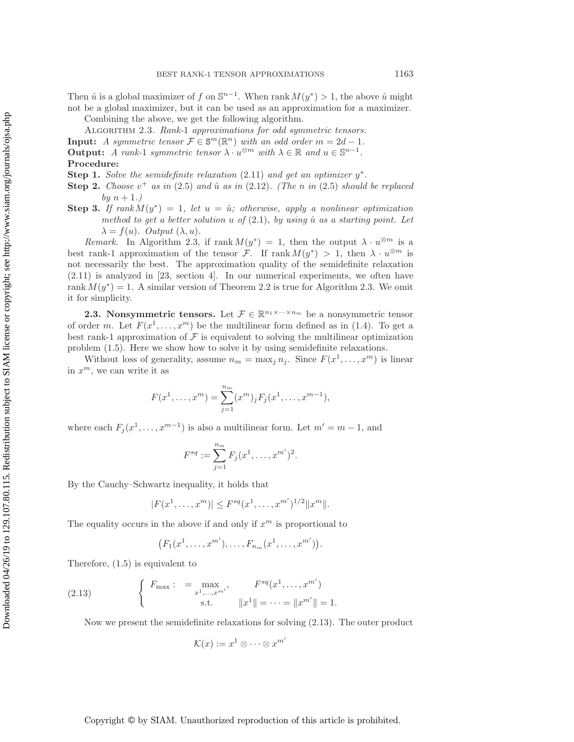Then  $\hat{u}$  is a global maximizer of f on  $\mathbb{S}^{n-1}$ . When rank  $M(y^*) > 1$ , the above  $\hat{u}$  might not be a global maximizer, but it can be used as an approximation for a maximizer. Combining the above, we get the following algorithm.

<span id="page-8-0"></span>Algorithm 2.3. *Rank-*1 *approximations for odd symmetric tensors.*

**Input:** *A symmetric tensor*  $\mathcal{F} \in \mathbb{S}^m(\mathbb{R}^n)$  *with an odd order*  $m = 2d - 1$ *.* **Output:** *A rank-1 symmetric tensor*  $\lambda \cdot u^{\otimes m}$  *with*  $\lambda \in \mathbb{R}$  *and*  $u \in \mathbb{S}^{n-1}$ *.* **Procedure:**

**Step 1.** *Solve the semidefinite relaxation*  $(2.11)$  *and get an optimizer*  $y^*$ *.* 

- **Step 2.** *Choose*  $v^+$  *as in* [\(2.5\)](#page-5-0) *and*  $\hat{u}$  *as in* [\(2.12\)](#page-7-2)*.* (The *n in* (2.5) *should be replaced*  $b\bar{v}$   $n + 1$ .
- **Step 3.** *If rank*  $M(y^*)=1$ , let  $u = \hat{u}$ ; otherwise, apply a nonlinear optimization *method to get a better solution* u *of*  $(2.1)$ *, by using*  $\hat{u}$  *as a starting point. Let*  $\lambda = f(u)$ *. Output*  $(\lambda, u)$ *.*

*Remark.* In Algorithm [2.3,](#page-8-0) if rank  $M(y^*) = 1$ , then the output  $\lambda \cdot u^{\otimes m}$  is a best rank-1 approximation of the tensor F. If rank  $M(y^*) > 1$ , then  $\lambda \cdot u^{\otimes m}$  is not necessarily the best. The approximation quality of the semidefinite relaxation [\(2.11\)](#page-7-1) is analyzed in [\[23,](#page-23-17) section [4\]](#page-22-0). In our numerical experiments, we often have rank  $M(y^*) = 1$ . A similar version of Theorem [2.2](#page-6-1) is true for Algorithm [2.3.](#page-8-0) We omit it for simplicity.

**2.3. Nonsymmetric tensors.** Let  $\mathcal{F} \in \mathbb{R}^{n_1 \times \cdots \times n_m}$  be a nonsymmetric tensor of order m. Let  $F(x^1, \ldots, x^m)$  be the multilinear form defined as in [\(1.4\)](#page-1-4). To get a best rank-1 approximation of  $\mathcal F$  is equivalent to solving the multilinear optimization problem [\(1.5\)](#page-1-2). Here we show how to solve it by using semidefinite relaxations.

Without loss of generality, assume  $n_m = \max_j n_j$ . Since  $F(x^1, \ldots, x^m)$  is linear in  $x^m$ , we can write it as

$$
F(x1,...,xm) = \sum_{j=1}^{n_m} (xm)_j F_j(x1,...,xm-1),
$$

where each  $F_j(x^1,\ldots,x^{m-1})$  is also a multilinear form. Let  $m' = m - 1$ , and

$$
F^{sq} := \sum_{j=1}^{n_m} F_j(x^1, \dots, x^{m'})^2.
$$

By the Cauchy–Schwartz inequality, it holds that

$$
|F(x^1, \dots, x^m)| \le F^{sq}(x^1, \dots, x^{m'})^{1/2} ||x^m||.
$$

The equality occurs in the above if and only if  $x^m$  is proportional to

<span id="page-8-1"></span>
$$
(F_1(x^1, ..., x^{m'}), ..., F_{n_m}(x^1, ..., x^{m'})).
$$

Therefore, [\(1.5\)](#page-1-2) is equivalent to

(2.13) 
$$
\begin{cases} F_{\max} : = \max_{x^1, ..., x^{m'}} , & F^{sq}(x^1, ..., x^{m'}) \\ \text{s.t.} & \|x^1\| = ... = \|x^{m'}\| = 1. \end{cases}
$$

Now we present the semidefinite relaxations for solving [\(2.13\)](#page-8-1). The outer product

$$
\mathcal{K}(x) := x^1 \otimes \cdots \otimes x^{m'}
$$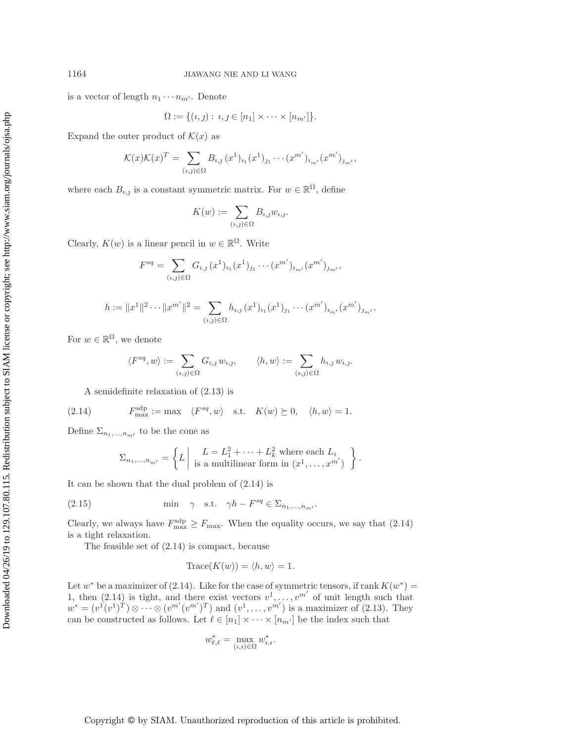is a vector of length  $n_1 \cdots n_{m'}$ . Denote

$$
\Omega := \{ (i,j) : i, j \in [n_1] \times \cdots \times [n_{m'}] \}.
$$

Expand the outer product of  $\mathcal{K}(x)$  as

$$
\mathcal{K}(x)\mathcal{K}(x)^{T} = \sum_{(i,j)\in\Omega} B_{i,j} (x^{1})_{i_{1}} (x^{1})_{j_{1}} \cdots (x^{m'})_{i_{m'}} (x^{m'})_{j_{m'}},
$$

where each  $B_{i,j}$  is a constant symmetric matrix. For  $w \in \mathbb{R}^{\Omega}$ , define

$$
K(w) := \sum_{(i,j)\in\Omega} B_{i,j} w_{i,j}.
$$

Clearly,  $K(w)$  is a linear pencil in  $w \in \mathbb{R}^{\Omega}$ . Write

$$
F^{sq} = \sum_{(i,j)\in\Omega} G_{i,j} (x^1)_{i_1} (x^1)_{j_1} \cdots (x^{m'})_{i_{m'}} (x^{m'})_{j_{m'}},
$$

$$
h := \|x^1\|^2 \cdots \|x^{m'}\|^2 = \sum_{(i,j) \in \Omega} h_{i,j} (x^1)_{i_1} (x^1)_{j_1} \cdots (x^{m'})_{i_{m'}} (x^{m'})_{j_{m'}}.
$$

For  $w \in \mathbb{R}^{\Omega}$ , we denote

<span id="page-9-0"></span>
$$
\langle F^{sq}, w \rangle := \sum_{(i,j) \in \Omega} G_{i,j} w_{i,j}, \qquad \langle h, w \rangle := \sum_{(i,j) \in \Omega} h_{i,j} w_{i,j}.
$$

A semidefinite relaxation of [\(2.13\)](#page-8-1) is

(2.14) 
$$
F_{\text{max}}^{\text{sdp}} := \max \langle F^{sq}, w \rangle \text{ s.t. } K(w) \succeq 0, \langle h, w \rangle = 1.
$$

Define  $\Sigma_{n_1,...,n_m}$  to be the cone as

$$
\Sigma_{n_1,\dots,n_{m'}} = \left\{ L \middle| \begin{array}{c} L = L_1^2 + \dots + L_k^2 \text{ where each } L_i \\ \text{is a multilinear form in } (x^1, \dots, x^{m'}) \end{array} \right\}.
$$

It can be shown that the dual problem of [\(2.14\)](#page-9-0) is

(2.15) 
$$
\min \quad \gamma \quad \text{s.t.} \quad \gamma h - F^{sq} \in \Sigma_{n_1, ..., n_{m'}}.
$$

Clearly, we always have  $F_{\text{max}}^{\text{sqp}} \geq F_{\text{max}}$ . When the equality occurs, we say that [\(2.14\)](#page-9-0) is a tight relaxation.

The feasible set of [\(2.14\)](#page-9-0) is compact, because

$$
\text{Trace}(K(w)) = \langle h, w \rangle = 1.
$$

Let w<sup>∗</sup> be a maximizer of [\(2.14\)](#page-9-0). Like for the case of symmetric tensors, if rank  $K(w^*)$  = 1, then [\(2.14\)](#page-9-0) is tight, and there exist vectors  $v^1, \ldots, v^{m'}$  of unit length such that  $w^* = (v^1(v^1)^T) \otimes \cdots \otimes (v^{m'}(v^{m'})^T)$  and  $(v^1, \ldots, v^{m'})$  is a maximizer of [\(2.13\)](#page-8-1). They can be constructed as follows. Let  $\ell \in [n_1] \times \cdots \times [n_{m'}]$  be the index such that

$$
w_{\ell,\ell}^* = \max_{(i,i) \in \Omega} w_{i,i}^*.
$$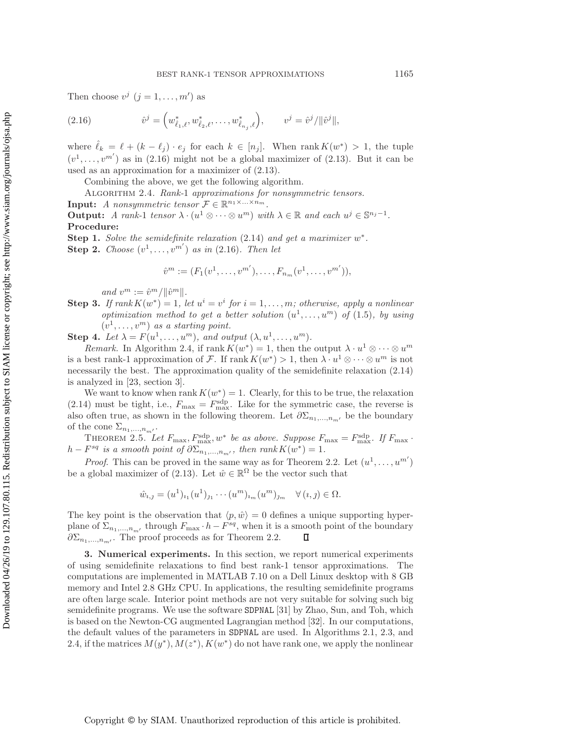<span id="page-10-1"></span>Then choose  $v^j$   $(j = 1, \ldots, m')$  as

(2.16) 
$$
\hat{v}^j = \left(w^*_{\hat{\ell}_1,\ell}, w^*_{\hat{\ell}_2,\ell}, \ldots, w^*_{\hat{\ell}_{n_j},\ell}\right), \qquad v^j = \hat{v}^j / \|\hat{v}^j\|,
$$

where  $\hat{\ell}_k = \ell + (k - \ell_j) \cdot e_j$  for each  $k \in [n_j]$ . When rank  $K(w^*) > 1$ , the tuple  $(v^1,\ldots,v^{m'})$  as in [\(2.16\)](#page-10-1) might not be a global maximizer of [\(2.13\)](#page-8-1). But it can be used as an approximation for a maximizer of [\(2.13\)](#page-8-1).

<span id="page-10-2"></span>Combining the above, we get the following algorithm.

Algorithm 2.4. *Rank-*1 *approximations for nonsymmetric tensors.*

**Input:** *A nonsymmetric tensor*  $\mathcal{F} \in \mathbb{R}^{n_1 \times \ldots \times n_m}$ .

**Output:** *A rank-1 tensor*  $\lambda \cdot (u^1 \otimes \cdots \otimes u^m)$  *with*  $\lambda \in \mathbb{R}$  *and each*  $u^j \in \mathbb{S}^{n_j-1}$ *.* **Procedure:**

**Step 1.** *Solve the semidefinite relaxation* [\(2.14\)](#page-9-0) *and get a maximizer* w∗*.* **Step 2.** *Choose*  $(v^1, \ldots, v^{m'})$  *as in* [\(2.16\)](#page-10-1)*. Then let* 

$$
\hat{v}^m := (F_1(v^1, \dots, v^{m'}), \dots, F_{n_m}(v^1, \dots, v^{m'})),
$$

*and*  $v^m := \hat{v}^m / ||\hat{v}^m||$ .

**Step 3.** *If rank*  $K(w^*) = 1$ *, let*  $u^i = v^i$  *for*  $i = 1, \ldots, m$ *; otherwise, apply a nonlinear optimization method to get a better solution*  $(u^1, \ldots, u^m)$  *of* [\(1.5\)](#page-1-2)*, by using*  $(v^1,\ldots,v^m)$  *as a starting point.* 

**Step 4.** Let  $\lambda = F(u^1, \ldots, u^m)$ , and output  $(\lambda, u^1, \ldots, u^m)$ .

*Remark.* In Algorithm [2.4,](#page-10-2) if rank  $K(w^*) = 1$ , then the output  $\lambda \cdot u^1 \otimes \cdots \otimes u^m$ is a best rank-1 approximation of F. If rank  $K(w^*) > 1$ , then  $\lambda \cdot u^1 \otimes \cdots \otimes u^m$  is not necessarily the best. The approximation quality of the semidefinite relaxation [\(2.14\)](#page-9-0) is analyzed in [\[23,](#page-23-17) section [3\]](#page-10-0).

We want to know when rank  $K(w^*) = 1$ . Clearly, for this to be true, the relaxation [\(2.14\)](#page-9-0) must be tight, i.e.,  $F_{\text{max}} = F_{\text{max}}^{\text{sqp}}$ . Like for the symmetric case, the reverse is also often true, as shown in the following theorem. Let  $\partial \Sigma_{n_1,\dots,n_m}$  be the boundary of the cone  $\Sigma_{n_1,...,n_{m'}}.$ 

THEOREM 2.5. Let  $F_{\text{max}}$ ,  $F_{\text{max}}^{\text{sdp}}$ ,  $w^*$  be as above. Suppose  $F_{\text{max}} = F_{\text{max}}^{\text{sdp}}$ . If  $F_{\text{max}}$ .  $h - F^{sq}$  *is a smooth point of*  $\partial \Sigma_{n_1,\dots,n_m'}$ , then rank  $K(w^*)=1$ .

*Proof.* This can be proved in the same way as for Theorem [2.2.](#page-6-1) Let  $(u^1, \ldots, u^{m'})$ be a global maximizer of [\(2.13\)](#page-8-1). Let  $\hat{w} \in \mathbb{R}^{\Omega}$  be the vector such that

$$
\hat{w}_{i,j} = (u^1)_{i_1} (u^1)_{j_1} \cdots (u^m)_{i_m} (u^m)_{j_m} \quad \forall (i,j) \in \Omega.
$$

The key point is the observation that  $\langle p, \hat{w} \rangle = 0$  defines a unique supporting hyperplane of  $\Sigma_{n_1,\dots,n_m}$ , through  $F_{\text{max}} \cdot h - F^{sq}$ , when it is a smooth point of the boundary  $\partial \Sigma_{n_1,\dots,n_m}$ . The proof proceeds as for Theorem 2.2.  $\partial \Sigma_{n_1,\dots,n_{m'}}$ . The proof proceeds as for Theorem [2.2.](#page-6-1)

<span id="page-10-0"></span>**3. Numerical experiments.** In this section, we report numerical experiments of using semidefinite relaxations to find best rank-1 tensor approximations. The computations are implemented in MATLAB 7.10 on a Dell Linux desktop with 8 GB memory and Intel 2.8 GHz CPU. In applications, the resulting semidefinite programs are often large scale. Interior point methods are not very suitable for solving such big semidefinite programs. We use the software SDPNAL [\[31\]](#page-24-6) by Zhao, Sun, and Toh, which is based on the Newton-CG augmented Lagrangian method [\[32\]](#page-24-4). In our computations, the default values of the parameters in SDPNAL are used. In Algorithms [2.1,](#page-6-0) [2.3,](#page-8-0) and [2.4,](#page-10-2) if the matrices  $M(y^*), M(z^*), K(w^*)$  do not have rank one, we apply the nonlinear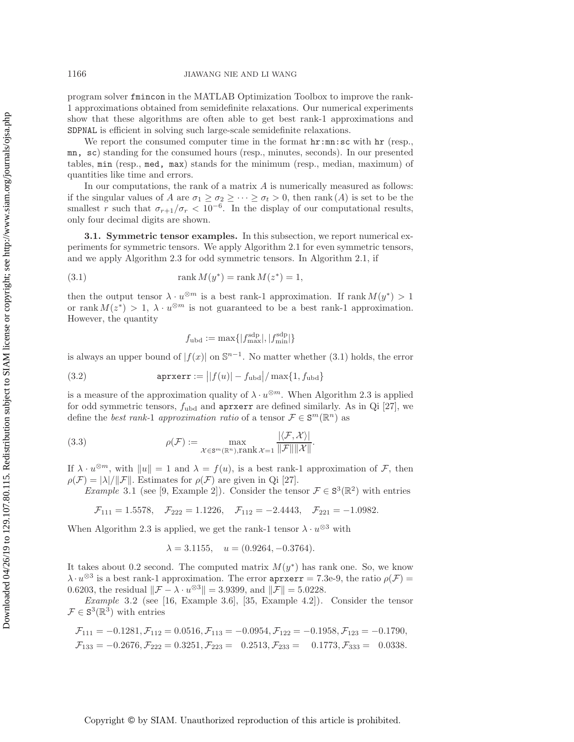program solver fmincon in the MATLAB Optimization Toolbox to improve the rank-1 approximations obtained from semidefinite relaxations. Our numerical experiments show that these algorithms are often able to get best rank-1 approximations and SDPNAL is efficient in solving such large-scale semidefinite relaxations.

We report the consumed computer time in the format  $\text{hr:mn:sc}$  with  $\text{hr}$  (resp., mn, sc) standing for the consumed hours (resp., minutes, seconds). In our presented tables, min (resp., med, max) stands for the minimum (resp., median, maximum) of quantities like time and errors.

In our computations, the rank of a matrix  $A$  is numerically measured as follows: if the singular values of A are  $\sigma_1 \geq \sigma_2 \geq \cdots \geq \sigma_t > 0$ , then rank (A) is set to be the smallest r such that  $\sigma_{r+1}/\sigma_r < 10^{-6}$ . In the display of our computational results, only four decimal digits are shown.

**3.1. Symmetric tensor examples.** In this subsection, we report numerical experiments for symmetric tensors. We apply Algorithm [2.1](#page-6-0) for even symmetric tensors, and we apply Algorithm [2.3](#page-8-0) for odd symmetric tensors. In Algorithm [2.1,](#page-6-0) if

(3.1) 
$$
\text{rank } M(y^*) = \text{rank } M(z^*) = 1,
$$

then the output tensor  $\lambda \cdot u^{\otimes m}$  is a best rank-1 approximation. If rank  $M(y^*) > 1$ or rank  $M(z^*) > 1$ ,  $\lambda \cdot u^{\otimes m}$  is not guaranteed to be a best rank-1 approximation. However, the quantity

<span id="page-11-1"></span><span id="page-11-0"></span>
$$
f_{\rm ubd} := \max\{|f_{\rm max}^{\rm sdp}|, |f_{\rm min}^{\rm sdp}|\}
$$

is always an upper bound of  $|f(x)|$  on  $\mathbb{S}^{n-1}$ . No matter whether [\(3.1\)](#page-11-0) holds, the error

(3.2) 
$$
\mathsf{aprxerr} := \left| |f(u)| - f_{\text{ubd}} \right| / \max\{1, f_{\text{ubd}}\}
$$

is a measure of the approximation quality of  $\lambda \cdot u^{\otimes m}$ . When Algorithm [2.3](#page-8-0) is applied for odd symmetric tensors,  $f_{ubd}$  and aprxerr are defined similarly. As in Qi [\[27\]](#page-24-7), we define the *best rank-1 approximation ratio* of a tensor  $\mathcal{F} \in \mathbb{S}^m(\mathbb{R}^n)$  as

(3.3) 
$$
\rho(\mathcal{F}) := \max_{\mathcal{X} \in \mathbb{S}^m(\mathbb{R}^n), \text{rank } \mathcal{X} = 1} \frac{|\langle \mathcal{F}, \mathcal{X} \rangle|}{\|\mathcal{F}\| \|\mathcal{X}\|}.
$$

If  $\lambda \cdot u^{\otimes m}$ , with  $||u|| = 1$  and  $\lambda = f(u)$ , is a best rank-1 approximation of F, then  $\rho(\mathcal{F}) = |\lambda|/||\mathcal{F}||$ . Estimates for  $\rho(\mathcal{F})$  are given in Qi [\[27\]](#page-24-7).

*Example* 3.1 (see [\[9,](#page-23-9) Example 2]). Consider the tensor  $\mathcal{F} \in S^3(\mathbb{R}^2)$  with entries

$$
\mathcal{F}_{111} = 1.5578, \quad \mathcal{F}_{222} = 1.1226, \quad \mathcal{F}_{112} = -2.4443, \quad \mathcal{F}_{221} = -1.0982.
$$

When Algorithm [2.3](#page-8-0) is applied, we get the rank-1 tensor  $\lambda \cdot u^{\otimes 3}$  with

$$
\lambda = 3.1155
$$
,  $u = (0.9264, -0.3764)$ .

It takes about 0.2 second. The computed matrix  $M(y^*)$  has rank one. So, we know  $\lambda \cdot u^{\otimes 3}$  is a best rank-1 approximation. The error  $\text{aprxerr} = 7.3e-9$ , the ratio  $\rho(\mathcal{F}) =$ 0.6203, the residual  $\|\mathcal{F} - \lambda \cdot u^{\otimes 3}\| = 3.9399$ , and  $\|\mathcal{F}\| = 5.0228$ .

*Example* 3.2 (see [\[16,](#page-23-18) Example 3.6], [\[35,](#page-24-2) Example 4.2]). Consider the tensor  $\mathcal{F} \in \mathbb{S}^3(\mathbb{R}^3)$  with entries

$$
\mathcal{F}_{111} = -0.1281, \mathcal{F}_{112} = 0.0516, \mathcal{F}_{113} = -0.0954, \mathcal{F}_{122} = -0.1958, \mathcal{F}_{123} = -0.1790, \n\mathcal{F}_{133} = -0.2676, \mathcal{F}_{222} = 0.3251, \mathcal{F}_{223} = 0.2513, \mathcal{F}_{233} = 0.1773, \mathcal{F}_{333} = 0.0338.
$$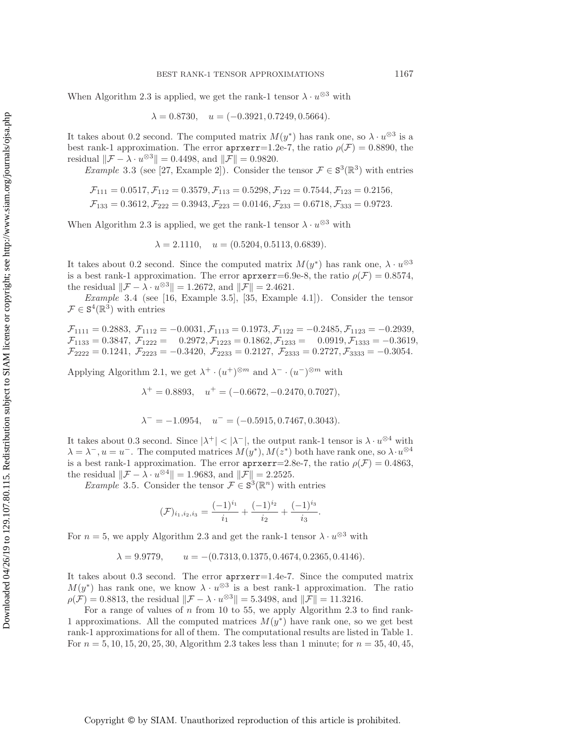When Algorithm [2.3](#page-8-0) is applied, we get the rank-1 tensor  $\lambda \cdot u^{\otimes 3}$  with

$$
\lambda = 0.8730
$$
,  $u = (-0.3921, 0.7249, 0.5664)$ .

It takes about 0.2 second. The computed matrix  $M(y^*)$  has rank one, so  $\lambda \cdot u^{\otimes 3}$  is a best rank-1 approximation. The error  $aprxerr=1.2e-7$ , the ratio  $\rho(\mathcal{F})=0.8890$ , the residual  $\|\mathcal{F} - \lambda \cdot u^{\otimes 3}\| = 0.4498$ , and  $\|\mathcal{F}\| = 0.9820$ .

*Example* 3.3 (see [\[27,](#page-24-7) Example 2]). Consider the tensor  $\mathcal{F} \in S^3(\mathbb{R}^3)$  with entries

$$
\mathcal{F}_{111} = 0.0517, \mathcal{F}_{112} = 0.3579, \mathcal{F}_{113} = 0.5298, \mathcal{F}_{122} = 0.7544, \mathcal{F}_{123} = 0.2156, \n\mathcal{F}_{133} = 0.3612, \mathcal{F}_{222} = 0.3943, \mathcal{F}_{223} = 0.0146, \mathcal{F}_{233} = 0.6718, \mathcal{F}_{333} = 0.9723.
$$

When Algorithm [2.3](#page-8-0) is applied, we get the rank-1 tensor  $\lambda \cdot u^{\otimes 3}$  with

$$
\lambda = 2.1110, \quad u = (0.5204, 0.5113, 0.6839).
$$

It takes about 0.2 second. Since the computed matrix  $M(y^*)$  has rank one,  $\lambda \cdot u^{\otimes 3}$ is a best rank-1 approximation. The error  $\text{aprxerr}=6.9e-8$ , the ratio  $\rho(\mathcal{F})=0.8574$ , the residual  $\|\mathcal{F} - \lambda \cdot u^{\otimes 3}\| = 1.2672$ , and  $\|\mathcal{F}\| = 2.4621$ .

*Example* 3.4 (see [\[16,](#page-23-18) Example 3.5], [\[35,](#page-24-2) Example 4.1]). Consider the tensor  $\mathcal{F} \in \mathbb{S}^4(\mathbb{R}^3)$  with entries

 $\mathcal{F}_{1111} = 0.2883, \ \mathcal{F}_{1112} = -0.0031, \mathcal{F}_{1113} = 0.1973, \mathcal{F}_{1122} = -0.2485, \mathcal{F}_{1123} = -0.2939,$  $\mathcal{F}_{1133} = 0.3847, \ \mathcal{F}_{1222} = 0.2972, \mathcal{F}_{1223} = 0.1862, \mathcal{F}_{1233} = 0.0919, \mathcal{F}_{1333} = -0.3619,$  $\mathcal{F}_{2222} = 0.1241, \ \mathcal{F}_{2223} = -0.3420, \ \mathcal{F}_{2233} = 0.2127, \ \mathcal{F}_{2333} = 0.2727, \mathcal{F}_{3333} = -0.3054.$ 

Applying Algorithm [2.1,](#page-6-0) we get  $\lambda^+ \cdot (u^+)^{\otimes m}$  and  $\lambda^- \cdot (u^-)^{\otimes m}$  with

 $\lambda^+ = 0.8893$ ,  $u^+ = (-0.6672, -0.2470, 0.7027)$ ,

$$
\lambda^- = -1.0954
$$
,  $u^- = (-0.5915, 0.7467, 0.3043)$ .

It takes about 0.3 second. Since  $|\lambda^+| < |\lambda^-|$ , the output rank-1 tensor is  $\lambda \cdot u^{\otimes 4}$  with  $\lambda = \lambda^-, u = u^-$ . The computed matrices  $M(y^*), M(z^*)$  both have rank one, so  $\lambda \cdot u^{\otimes 4}$ is a best rank-1 approximation. The error  $\text{aprxerr}=2.8e-7$ , the ratio  $\rho(\mathcal{F})=0.4863$ , the residual  $\|\mathcal{F} - \lambda \cdot u^{\otimes 4}\| = 1.9683$ , and  $\|\mathcal{F}\| = 2.2525$ .

<span id="page-12-0"></span>*Example* 3.5. Consider the tensor  $\mathcal{F} \in \mathbb{S}^3(\mathbb{R}^n)$  with entries

$$
(\mathcal{F})_{i_1,i_2,i_3} = \frac{(-1)^{i_1}}{i_1} + \frac{(-1)^{i_2}}{i_2} + \frac{(-1)^{i_3}}{i_3}.
$$

For  $n = 5$ , we apply Algorithm [2.3](#page-8-0) and get the rank-1 tensor  $\lambda \cdot u^{\otimes 3}$  with

$$
\lambda = 9.9779
$$
,  $u = -(0.7313, 0.1375, 0.4674, 0.2365, 0.4146)$ .

It takes about 0.3 second. The error aprxerr=1.4e-7. Since the computed matrix  $M(y^*)$  has rank one, we know  $\lambda \cdot u^{\otimes 3}$  is a best rank-1 approximation. The ratio  $\rho(\mathcal{F})=0.8813$ , the residual  $\|\mathcal{F} - \lambda \cdot u^{\otimes 3}\| = 5.3498$ , and  $\|\mathcal{F}\| = 11.3216$ .

For a range of values of n from 10 to 55, we apply Algorithm [2.3](#page-8-0) to find rank-1 approximations. All the computed matrices  $M(y^*)$  have rank one, so we get best rank-1 approximations for all of them. The computational results are listed in Table [1.](#page-13-0) For  $n = 5, 10, 15, 20, 25, 30,$  Algorithm [2.3](#page-8-0) takes less than 1 minute; for  $n = 35, 40, 45,$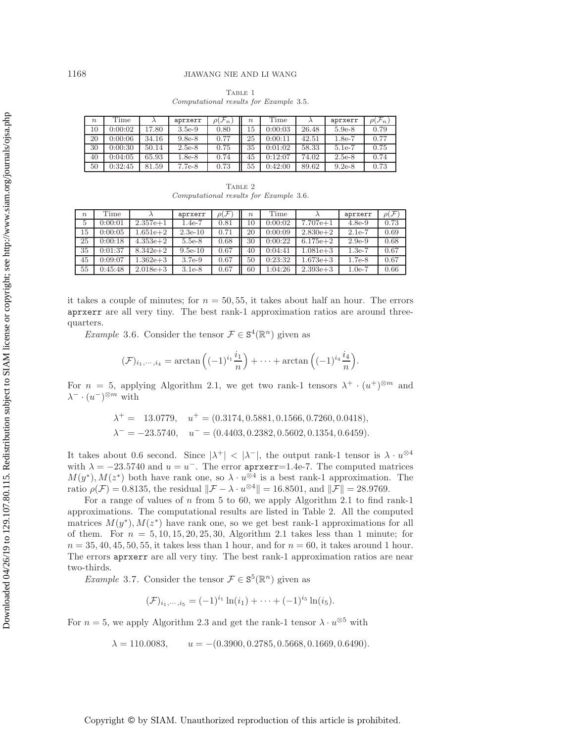<span id="page-13-0"></span>

|                                        | TABLE 1 |  |  |
|----------------------------------------|---------|--|--|
| Computational results for Example 3.5. |         |  |  |

| $\eta$ | Time    |       | aprxerr  | $\rho(\mathcal{F}_n)$ | $\boldsymbol{n}$ | Time    |       | aprxerr  | $\rho(\mathcal{F}_n)$ |
|--------|---------|-------|----------|-----------------------|------------------|---------|-------|----------|-----------------------|
| 10     | 0:00:02 | 17.80 | $3.5e-9$ | 0.80                  | 15               | 0:00:03 | 26.48 | $5.9e-8$ | 0.79                  |
| 20     | 0:00:06 | 34.16 | $9.8e-8$ | 0.77                  | 25               | 0:00:11 | 42.51 | 1.8e-7   | 0.77                  |
| 30     | 0:00:30 | 50.14 | $2.5e-8$ | 0.75                  | 35               | 0:01:02 | 58.33 | $5.1e-7$ | 0.75                  |
| 40     | 0:04:05 | 65.93 | $1.8e-8$ | 0.74                  | 45               | 0:12:07 | 74.02 | $2.5e-8$ | 0.74                  |
| 50     | 0:32:45 | 81.59 | $7.7e-8$ | 0.73                  | 55               | 0:42:00 | 89.62 | $9.2e-8$ | 0.73                  |

<span id="page-13-2"></span>Table 2 *Computational results for Example* [3.6](#page-13-1)*.*

| $\eta$         | Time    |              | aprxerr   | $\rho(\mathcal{F}% _{F}^{\ast}\mathcal{A})(\theta)=\rho(\mathcal{F}_{F}^{\ast}\mathcal{A})(\theta)$ | $\boldsymbol{n}$ | Time    |              | aprxerr  | $\rho(\mathcal{F})$ |
|----------------|---------|--------------|-----------|-----------------------------------------------------------------------------------------------------|------------------|---------|--------------|----------|---------------------|
| $\overline{5}$ | 0:00:01 | $2.357e + 1$ | $1.4e-7$  | 0.81                                                                                                | 10               | 0:00:02 | $7.707e + 1$ | $4.8e-9$ | 0.73                |
| 15             | 0:00:05 | $1.651e + 2$ | $2.3e-10$ | 0.71                                                                                                | 20               | 0:00:09 | $2.830e + 2$ | $2.1e-7$ | 0.69                |
| 25             | 0:00:18 | $4.353e + 2$ | $5.5e-8$  | 0.68                                                                                                | 30               | 0:00:22 | $6.175e + 2$ | $2.9e-9$ | 0.68                |
| 35             | 0:01:37 | $8.342e + 2$ | $9.5e-10$ | 0.67                                                                                                | 40               | 0:04:41 | $1.081e + 3$ | $1.3e-7$ | 0.67                |
| 45             | 0:09:07 | $1.362e + 3$ | $3.7e-9$  | 0.67                                                                                                | 50               | 0:23:32 | $1.673e + 3$ | $1.7e-8$ | 0.67                |
| 55             | 0:45:48 | $2.018e + 3$ | $3.1e-8$  | 0.67                                                                                                | 60               | 1:04:26 | $2.393e + 3$ | $1.0e-7$ | 0.66                |

it takes a couple of minutes; for  $n = 50, 55$ , it takes about half an hour. The errors aprxerr are all very tiny. The best rank-1 approximation ratios are around threequarters.

<span id="page-13-1"></span>*Example* 3.6. Consider the tensor  $\mathcal{F} \in S^4(\mathbb{R}^n)$  given as

$$
(\mathcal{F})_{i_1,\dots,i_4} = \arctan\left((-1)^{i_1}\frac{i_1}{n}\right) + \dots + \arctan\left((-1)^{i_4}\frac{i_4}{n}\right).
$$

For  $n = 5$ , applying Algorithm [2.1,](#page-6-0) we get two rank-1 tensors  $\lambda^+ \cdot (u^+)^{\otimes m}$  and  $\lambda^{-} \cdot (u^{-})^{\otimes m}$  with

$$
\lambda^+ = 13.0779
$$
,  $u^+ = (0.3174, 0.5881, 0.1566, 0.7260, 0.0418)$ ,  
\n $\lambda^- = -23.5740$ ,  $u^- = (0.4403, 0.2382, 0.5602, 0.1354, 0.6459)$ .

It takes about 0.6 second. Since  $|\lambda^+| < |\lambda^-|$ , the output rank-1 tensor is  $\lambda \cdot u^{\otimes 4}$ with  $\lambda = -23.5740$  and  $u = u^{-}$ . The error aprxerr=1.4e-7. The computed matrices  $M(y^*), M(z^*)$  both have rank one, so  $\lambda \cdot u^{\otimes 4}$  is a best rank-1 approximation. The ratio  $\rho(\mathcal{F})=0.8135$ , the residual  $\|\mathcal{F} - \lambda \cdot u^{\otimes 4}\| = 16.8501$ , and  $\|\mathcal{F}\| = 28.9769$ .

For a range of values of  $n$  from 5 to 60, we apply Algorithm [2.1](#page-6-0) to find rank-1 approximations. The computational results are listed in Table [2.](#page-13-2) All the computed matrices  $M(y^*), M(z^*)$  have rank one, so we get best rank-1 approximations for all of them. For  $n = 5, 10, 15, 20, 25, 30$ , Algorithm [2.1](#page-6-0) takes less than 1 minute; for  $n = 35, 40, 45, 50, 55$ , it takes less than 1 hour, and for  $n = 60$ , it takes around 1 hour. The errors aprxerr are all very tiny. The best rank-1 approximation ratios are near two-thirds.

<span id="page-13-3"></span>*Example* 3.7. Consider the tensor  $\mathcal{F} \in \mathbb{S}^5(\mathbb{R}^n)$  given as

$$
(\mathcal{F})_{i_1,\cdots,i_5}=(-1)^{i_1}\ln(i_1)+\cdots+(-1)^{i_5}\ln(i_5).
$$

For  $n = 5$ , we apply Algorithm [2.3](#page-8-0) and get the rank-1 tensor  $\lambda \cdot u^{\otimes 5}$  with

 $\lambda = 110.0083,$   $u = -(0.3900, 0.2785, 0.5668, 0.1669, 0.6490).$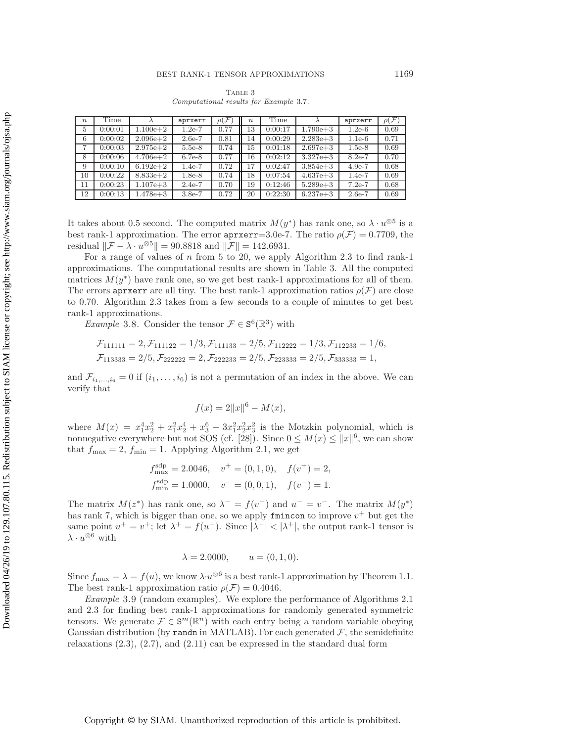<span id="page-14-0"></span>Table 3 *Computational results for Example* [3.7](#page-13-3)*.*

| $\boldsymbol{n}$ | Time    |              | aprxerr  | $\rho(\mathcal{F})$ | $\boldsymbol{n}$ | Time    |              | aprxerr  | $\rho(\mathcal{F})$ |
|------------------|---------|--------------|----------|---------------------|------------------|---------|--------------|----------|---------------------|
| $\overline{5}$   | 0:00:01 | $1.100e + 2$ | $1.2e-7$ | 0.77                | 13               | 0:00:17 | $1.790e + 3$ | $1.2e-6$ | 0.69                |
| 6                | 0:00:02 | $2.096e + 2$ | $2.6e-7$ | 0.81                | 14               | 0:00:29 | $2.283e + 3$ | $1.1e-6$ | 0.71                |
| 7                | 0:00:03 | $2.975e + 2$ | $5.5e-8$ | 0.74                | 15               | 0:01:18 | $2.697e + 3$ | $1.5e-8$ | 0.69                |
| 8                | 0:00:06 | $4.706e + 2$ | $6.7e-8$ | 0.77                | 16               | 0:02:12 | $3.327e + 3$ | $8.2e-7$ | 0.70                |
| 9                | 0:00:10 | $6.192e+2$   | $1.4e-7$ | 0.72                | 17               | 0:02:47 | $3.854e + 3$ | $4.9e-7$ | 0.68                |
| 10               | 0:00:22 | $8.833e + 2$ | $1.8e-8$ | 0.74                | 18               | 0:07:54 | $4.637e + 3$ | $1.4e-7$ | 0.69                |
| 11               | 0:00:23 | $1.107e + 3$ | $2.4e-7$ | 0.70                | 19               | 0:12:46 | $5.289e + 3$ | $7.2e-7$ | 0.68                |
| 12               | 0:00:13 | $1.478e + 3$ | $3.8e-7$ | 0.72                | 20               | 0:22:30 | $6.237e + 3$ | $2.6e-7$ | 0.69                |

It takes about 0.5 second. The computed matrix  $M(y^*)$  has rank one, so  $\lambda \cdot u^{\otimes 5}$  is a best rank-1 approximation. The error  $\texttt{aprxerr}=3.0e-7$ . The ratio  $\rho(\mathcal{F})=0.7709$ , the residual  $\|\mathcal{F} - \lambda \cdot u^{\otimes 5}\| = 90.8818$  and  $\|\mathcal{F}\| = 142.6931$ .

For a range of values of n from 5 to 20, we apply Algorithm [2.3](#page-8-0) to find rank-1 approximations. The computational results are shown in Table [3.](#page-14-0) All the computed matrices  $M(y^*)$  have rank one, so we get best rank-1 approximations for all of them. The errors apring are all tiny. The best rank-1 approximation ratios  $\rho(\mathcal{F})$  are close to 0.70. Algorithm [2.3](#page-8-0) takes from a few seconds to a couple of minutes to get best rank-1 approximations.

*Example* 3.8. Consider the tensor  $\mathcal{F} \in \mathbf{S}^6(\mathbb{R}^3)$  with

$$
\mathcal{F}_{111111} = 2, \mathcal{F}_{111122} = 1/3, \mathcal{F}_{111133} = 2/5, \mathcal{F}_{112222} = 1/3, \mathcal{F}_{112233} = 1/6, \mathcal{F}_{113333} = 2/5, \mathcal{F}_{222222} = 2, \mathcal{F}_{222233} = 2/5, \mathcal{F}_{223333} = 2/5, \mathcal{F}_{333333} = 1,
$$

and  $\mathcal{F}_{i_1,...,i_6} = 0$  if  $(i_1,...,i_6)$  is not a permutation of an index in the above. We can verify that

$$
f(x) = 2||x||^{6} - M(x),
$$

where  $M(x) = x_1^4x_2^2 + x_1^2x_2^4 + x_3^6 - 3x_1^2x_2^2x_3^2$  is the Motzkin polynomial, which is nonnegative everywhere but not SOS (cf. [\[28\]](#page-24-5)). Since  $0 \leq M(x) \leq ||x||^6$ , we can show that  $f_{\text{max}} = 2$ ,  $f_{\text{min}} = 1$ . Applying Algorithm [2.1,](#page-6-0) we get

$$
f_{\text{max}}^{\text{sdp}} = 2.0046
$$
,  $v^+ = (0, 1, 0)$ ,  $f(v^+) = 2$ ,  
\n $f_{\text{min}}^{\text{sdp}} = 1.0000$ ,  $v^- = (0, 0, 1)$ ,  $f(v^-) = 1$ .

The matrix  $M(z^*)$  has rank one, so  $\lambda^- = f(v^-)$  and  $u^- = v^-$ . The matrix  $M(y^*)$ has rank 7, which is bigger than one, so we apply finition to improve  $v^+$  but get the same point  $u^+ = v^+$ ; let  $\lambda^+ = f(u^+)$ . Since  $|\lambda^-| < |\lambda^+|$ , the output rank-1 tensor is  $\lambda \cdot u^{\otimes 6}$  with

<span id="page-14-2"></span>
$$
\lambda = 2.0000,
$$
  $u = (0, 1, 0).$ 

Since  $f_{\text{max}} = \lambda = f(u)$ , we know  $\lambda \cdot u^{\otimes 6}$  is a best rank-1 approximation by Theorem [1.1.](#page-1-3) The best rank-1 approximation ratio  $\rho(\mathcal{F})=0.4046$ .

<span id="page-14-1"></span>*Example* 3.9 (random examples). We explore the performance of Algorithms [2.1](#page-6-0) and [2.3](#page-8-0) for finding best rank-1 approximations for randomly generated symmetric tensors. We generate  $\mathcal{F} \in \mathbb{S}^m(\mathbb{R}^n)$  with each entry being a random variable obeying Gaussian distribution (by randn in MATLAB). For each generated  $\mathcal{F}$ , the semidefinite relaxations [\(2.3\)](#page-4-1), [\(2.7\)](#page-5-2), and [\(2.11\)](#page-7-1) can be expressed in the standard dual form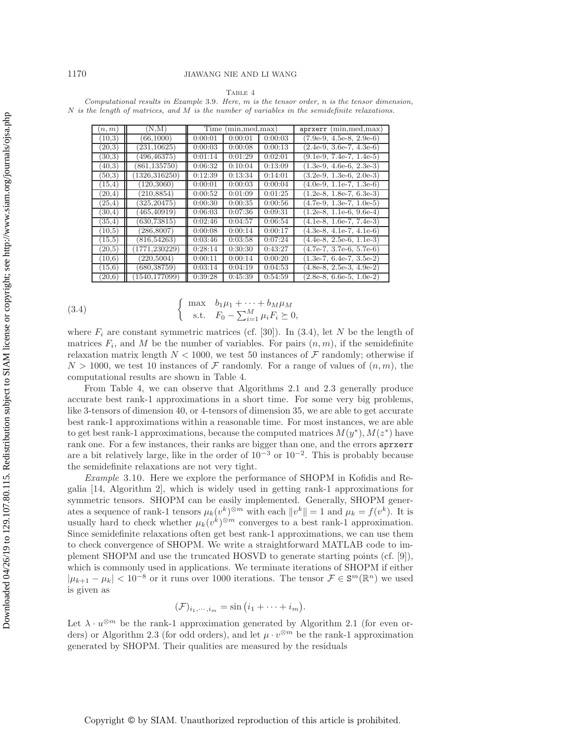#### TABLE 4

<span id="page-15-0"></span>*Computational results in Example* [3.9](#page-14-1)*. Here,* m *is the tensor order,* n *is the tensor dimension,* N *is the length of matrices, and* M *is the number of variables in the semidefinite relaxations.*

| (n, m)  | (N,M)          | Time    | (min, med, max) |         | $aprxerr$ (min, med, max)             |
|---------|----------------|---------|-----------------|---------|---------------------------------------|
| (10.3)  | (66, 1000)     | 0:00:01 | 0:00:01         | 0:00:03 | $(7.9e-9, 4.5e-8, 2.9e-6)$            |
| (20.3)  | (231, 10625)   | 0:00:03 | 0:00:08         | 0:00:13 | $(2.4e-9, 3.6e-7, 4.\overline{3e-6})$ |
| (30.3)  | (496, 46375)   | 0:01:14 | 0:01:29         | 0:02:01 | $(9.1e-9, 7.4e-7, 1.4e-5)$            |
| (40.3)  | (861, 135750)  | 0:06:32 | 0:10:04         | 0:13:09 | $(1.3e-9, 4.6e-6, 2.3e-3)$            |
| (50.3)  | 1326,316250)   | 0:12:39 | 0:13:34         | 0:14:01 | $(3.2e-9, 1.3e-6, 2.0e-3)$            |
| (15,4)  | (120, 3060)    | 0:00:01 | 0:00:03         | 0:00:04 | $(4.0e-9, 1.1e-7, 1.3e-6)$            |
| (20,4)  | (210, 8854)    | 0:00:52 | 0:01:09         | 0:01:25 | $(1.2e-8, 1.8e-7, 6.3e-3)$            |
| (25, 4) | (325, 20475)   | 0:00:30 | 0:00:35         | 0:00:56 | $(4.7e-9, 1.3e-7, 1.0e-5)$            |
| (30.4)  | (465, 40919)   | 0:06:03 | 0:07:36         | 0:09:31 | $(1.2e-8, 1.1e-6, 9.6e-4)$            |
| (35,4)  | (630, 73815)   | 0:02:46 | 0:04:57         | 0:06:54 | $(4.1e-8, 1.6e-7, 7.4e-3)$            |
| (10,5)  | (286, 8007)    | 0:00:08 | 0:00:14         | 0:00:17 | $(4.3e-8, 4.1e-7, 4.1e-6)$            |
| (15.5)  | (816,54263)    | 0:03:46 | 0:03:58         | 0:07:24 | $(4.4e-8, 2.5e-6, 1.1e-3)$            |
| (20,5)  | (1771, 230229) | 0:28:14 | 0:30:30         | 0:43:27 | $(4.7e-7, 3.7e-6, 5.7e-6)$            |
| (10,6)  | (220,5004)     | 0:00:11 | 0:00:14         | 0:00:20 | $(1.3e-7, 6.4e-7, 3.5e-2)$            |
| (15,6)  | (680, 38759)   | 0:03:14 | 0:04:19         | 0:04:53 | $(4.8e-8, 2.5e-3, 4.9e-2)$            |
| (20.6)  | (1540, 177099) | 0:39:28 | 0:45:39         | 0:54:59 | $(2.8e-8, 6.6e-5, 1.0e-2)$            |

(3.4) 
$$
\begin{cases} \max \quad b_1 \mu_1 + \dots + b_M \mu_M \\ \text{s.t.} \quad F_0 - \sum_{i=1}^M \mu_i F_i \succeq 0, \end{cases}
$$

where  $F_i$  are constant symmetric matrices (cf. [\[30\]](#page-24-8)). In [\(3.4\)](#page-14-2), let N be the length of matrices  $F_i$ , and M be the number of variables. For pairs  $(n, m)$ , if the semidefinite relaxation matrix length  $N < 1000$ , we test 50 instances of  $\mathcal F$  randomly; otherwise if  $N > 1000$ , we test 10 instances of F randomly. For a range of values of  $(n, m)$ , the computational results are shown in Table [4.](#page-15-0)

From Table [4,](#page-15-0) we can observe that Algorithms [2.1](#page-6-0) and [2.3](#page-8-0) generally produce accurate best rank-1 approximations in a short time. For some very big problems, like 3-tensors of dimension 40, or 4-tensors of dimension 35, we are able to get accurate best rank-1 approximations within a reasonable time. For most instances, we are able to get best rank-1 approximations, because the computed matrices  $M(y^*), M(z^*)$  have rank one. For a few instances, their ranks are bigger than one, and the errors aprxerr are a bit relatively large, like in the order of  $10^{-3}$  or  $10^{-2}$ . This is probably because the semidefinite relaxations are not very tight.

<span id="page-15-1"></span>*Example* 3.10. Here we explore the performance of SHOPM in Kofidis and Regalia [\[14,](#page-23-11) Algorithm 2], which is widely used in getting rank-1 approximations for symmetric tensors. SHOPM can be easily implemented. Generally, SHOPM generates a sequence of rank-1 tensors  $\mu_k(v^k)^{\otimes m}$  with each  $||v^k|| = 1$  and  $\mu_k = f(v^k)$ . It is usually hard to check whether  $\mu_k(v^k)^{\otimes m}$  converges to a best rank-1 approximation. Since semidefinite relaxations often get best rank-1 approximations, we can use them to check convergence of SHOPM. We write a straightforward MATLAB code to implement SHOPM and use the truncated HOSVD to generate starting points (cf. [\[9\]](#page-23-9)), which is commonly used in applications. We terminate iterations of SHOPM if either  $|\mu_{k+1} - \mu_k| < 10^{-8}$  or it runs over 1000 iterations. The tensor  $\mathcal{F} \in \mathbb{S}^m(\mathbb{R}^n)$  we used is given as

$$
(\mathcal{F})_{i_1,\cdots,i_m}=\sin(i_1+\cdots+i_m).
$$

Let  $\lambda \cdot u^{\otimes m}$  be the rank-1 approximation generated by Algorithm [2.1](#page-6-0) (for even or-ders) or Algorithm [2.3](#page-8-0) (for odd orders), and let  $\mu \cdot v^{\otimes m}$  be the rank-1 approximation generated by SHOPM. Their qualities are measured by the residuals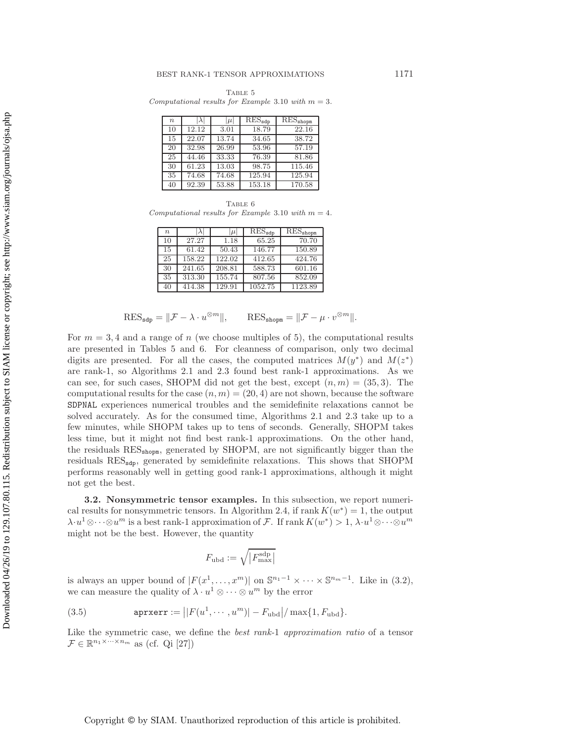<span id="page-16-0"></span>TABLE 5 *Computational results for Example* [3.10](#page-15-1) *with*  $m = 3$ *.* 

| $\boldsymbol{n}$ | $\lambda$ | $ \mu $ | $RES_{\text{sdp}}$ | RES <sub>shopm</sub> |
|------------------|-----------|---------|--------------------|----------------------|
| 10               | 12.12     | 3.01    | 18.79              | 22.16                |
| 15               | 22.07     | 13.74   | 34.65              | 38.72                |
| 20               | 32.98     | 26.99   | 53.96              | 57.19                |
| 25               | 44.46     | 33.33   | 76.39              | 81.86                |
| 30               | 61.23     | 13.03   | 98.75              | 115.46               |
| 35               | 74.68     | 74.68   | 125.94             | 125.94               |
| 40               | 92.39     | 53.88   | 153.18             | 170.58               |

TABLE 6 *Computational results for Example* [3.10](#page-15-1) *with* m = 4*.*

<span id="page-16-1"></span>

| n  |        | $\mu$  | $RES_{\text{sdp}}$ | RES <sub>shopm</sub> |
|----|--------|--------|--------------------|----------------------|
| 10 | 27.27  | 1.18   | 65.25              | 70.70                |
| 15 | 61.42  | 50.43  | 146.77             | 150.89               |
| 25 | 158.22 | 122.02 | 412.65             | 424.76               |
| 30 | 241.65 | 208.81 | 588.73             | 601.16               |
| 35 | 313.30 | 155.74 | 807.56             | 852.09               |
| 40 | 414.38 | 129.91 | 1052.75            | 1123.89              |

$$
\text{RES}_{\text{sdp}} = \|\mathcal{F} - \lambda \cdot u^{\otimes m}\|, \qquad \text{RES}_{\text{shopm}} = \|\mathcal{F} - \mu \cdot v^{\otimes m}\|.
$$

For  $m = 3, 4$  and a range of n (we choose multiples of 5), the computational results are presented in Tables [5](#page-16-0) and [6.](#page-16-1) For cleanness of comparison, only two decimal digits are presented. For all the cases, the computed matrices  $M(y^*)$  and  $M(z^*)$ are rank-1, so Algorithms [2.1](#page-6-0) and [2.3](#page-8-0) found best rank-1 approximations. As we can see, for such cases, SHOPM did not get the best, except  $(n, m) = (35, 3)$ . The computational results for the case  $(n, m) = (20, 4)$  are not shown, because the software SDPNAL experiences numerical troubles and the semidefinite relaxations cannot be solved accurately. As for the consumed time, Algorithms [2.1](#page-6-0) and [2.3](#page-8-0) take up to a few minutes, while SHOPM takes up to tens of seconds. Generally, SHOPM takes less time, but it might not find best rank-1 approximations. On the other hand, the residuals RESshopm, generated by SHOPM, are not significantly bigger than the residuals RES<sub>sdp</sub>, generated by semidefinite relaxations. This shows that SHOPM performs reasonably well in getting good rank-1 approximations, although it might not get the best.

**3.2. Nonsymmetric tensor examples.** In this subsection, we report numeri-cal results for nonsymmetric tensors. In Algorithm [2.4,](#page-10-2) if rank  $K(w^*) = 1$ , the output  $\lambda \cdot u^1 \otimes \cdots \otimes u^m$  is a best rank-1 approximation of F. If rank  $K(w^*) > 1$ ,  $\lambda \cdot u^1 \otimes \cdots \otimes u^m$ might not be the best. However, the quantity

$$
F_{\rm ubd}:=\sqrt{\left|F^{\rm sdp}_{\rm max}\right|}
$$

is always an upper bound of  $|F(x^1,\ldots,x^m)|$  on  $\mathbb{S}^{n_1-1}\times\cdots\times\mathbb{S}^{n_m-1}$ . Like in [\(3.2\)](#page-11-1), we can measure the quality of  $\lambda \cdot u^1 \otimes \cdots \otimes u^m$  by the error

(3.5) 
$$
\text{aprxerr} := \left| |F(u^1, \cdots, u^m)| - F_{\text{ubd}} \right| / \max\{1, F_{\text{ubd}}\}.
$$

Like the symmetric case, we define the *best rank-*1 *approximation ratio* of a tensor  $\mathcal{F} \in \mathbb{R}^{n_1 \times \cdots \times n_m}$  as (cf. Qi [\[27\]](#page-24-7))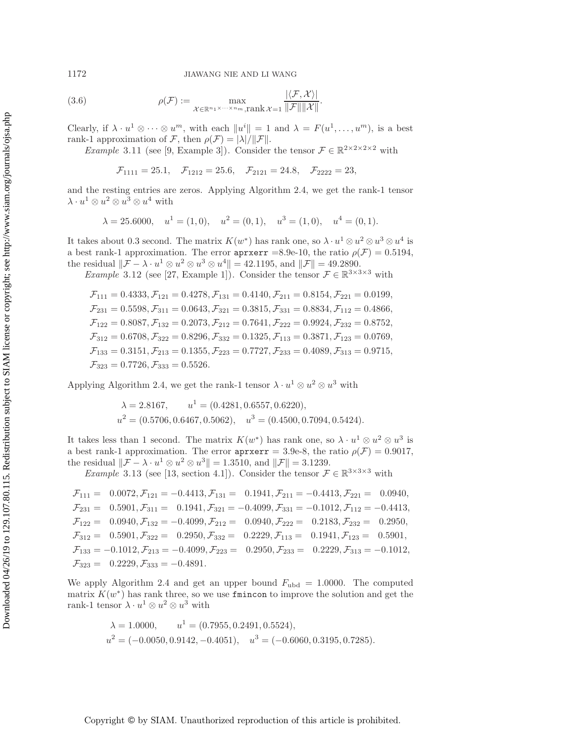1172 JIAWANG NIE AND LI WANG

(3.6) 
$$
\rho(\mathcal{F}) := \max_{\mathcal{X} \in \mathbb{R}^{n_1 \times \cdots \times n_m}, \text{rank } \mathcal{X} = 1} \frac{|\langle \mathcal{F}, \mathcal{X} \rangle|}{\|\mathcal{F}\| \|\mathcal{X}\|}.
$$

Clearly, if  $\lambda \cdot u^1 \otimes \cdots \otimes u^m$ , with each  $||u^i|| = 1$  and  $\lambda = F(u^1, \ldots, u^m)$ , is a best rank-1 approximation of F, then  $\rho(\mathcal{F}) = |\lambda|/||\mathcal{F}||$ .

*Example* 3.11 (see [\[9,](#page-23-9) Example 3]). Consider the tensor  $\mathcal{F} \in \mathbb{R}^{2 \times 2 \times 2 \times 2}$  with

 $\mathcal{F}_{1111} = 25.1, \quad \mathcal{F}_{1212} = 25.6, \quad \mathcal{F}_{2121} = 24.8, \quad \mathcal{F}_{2222} = 23,$ 

and the resting entries are zeros. Applying Algorithm [2.4,](#page-10-2) we get the rank-1 tensor  $\lambda\cdot u^1\otimes u^2\otimes u^3\otimes u^4$  with

$$
\lambda = 25.6000
$$
,  $u^1 = (1, 0)$ ,  $u^2 = (0, 1)$ ,  $u^3 = (1, 0)$ ,  $u^4 = (0, 1)$ .

It takes about 0.3 second. The matrix  $K(w^*)$  has rank one, so  $\lambda \cdot u^1 \otimes u^2 \otimes u^3 \otimes u^4$  is a best rank-1 approximation. The error  $\text{aprxerr} = 8.9e-10$ , the ratio  $\rho(\mathcal{F})=0.5194$ , the residual  $\|\mathcal{F} - \lambda \cdot u^1 \otimes u^2 \otimes u^3 \otimes u^4\| = 42.1195$ , and  $\|\mathcal{F}\| = 49.2890$ .

*Example* 3.12 (see [\[27,](#page-24-7) Example 1]). Consider the tensor  $\mathcal{F} \in \mathbb{R}^{3 \times 3 \times 3}$  with

 $\mathcal{F}_{111} = 0.4333, \mathcal{F}_{121} = 0.4278, \mathcal{F}_{131} = 0.4140, \mathcal{F}_{211} = 0.8154, \mathcal{F}_{221} = 0.0199,$  $\mathcal{F}_{231} = 0.5598, \mathcal{F}_{311} = 0.0643, \mathcal{F}_{321} = 0.3815, \mathcal{F}_{331} = 0.8834, \mathcal{F}_{112} = 0.4866,$  $\mathcal{F}_{122} = 0.8087, \mathcal{F}_{132} = 0.2073, \mathcal{F}_{212} = 0.7641, \mathcal{F}_{222} = 0.9924, \mathcal{F}_{232} = 0.8752,$  $\mathcal{F}_{312} = 0.6708, \mathcal{F}_{322} = 0.8296, \mathcal{F}_{332} = 0.1325, \mathcal{F}_{113} = 0.3871, \mathcal{F}_{123} = 0.0769,$  $\mathcal{F}_{133} = 0.3151, \mathcal{F}_{213} = 0.1355, \mathcal{F}_{223} = 0.7727, \mathcal{F}_{233} = 0.4089, \mathcal{F}_{313} = 0.9715,$  $\mathcal{F}_{323} = 0.7726, \mathcal{F}_{333} = 0.5526.$ 

Applying Algorithm [2.4,](#page-10-2) we get the rank-1 tensor  $\lambda \cdot u^1 \otimes u^2 \otimes u^3$  with

$$
\lambda = 2.8167
$$
,  $u^1 = (0.4281, 0.6557, 0.6220)$ ,  
\n $u^2 = (0.5706, 0.6467, 0.5062)$ ,  $u^3 = (0.4500, 0.7094, 0.5424)$ .

It takes less than 1 second. The matrix  $K(w^*)$  has rank one, so  $\lambda \cdot u^1 \otimes u^2 \otimes u^3$  is a best rank-1 approximation. The error  $\text{aprxerr} = 3.9e-8$ , the ratio  $\rho(\mathcal{F})=0.9017$ , the residual  $\|\mathcal{F} - \lambda \cdot u^1 \otimes u^2 \otimes u^3 \| = 1.3510$ , and  $\|\mathcal{F}\| = 3.1239$ .

*Example* 3.13 (see [\[13,](#page-23-19) section 4.1]). Consider the tensor  $\mathcal{F} \in \mathbb{R}^{3 \times 3 \times 3}$  with

$$
\mathcal{F}_{111} = 0.0072, \mathcal{F}_{121} = -0.4413, \mathcal{F}_{131} = 0.1941, \mathcal{F}_{211} = -0.4413, \mathcal{F}_{221} = 0.0940, \n\mathcal{F}_{231} = 0.5901, \mathcal{F}_{311} = 0.1941, \mathcal{F}_{321} = -0.4099, \mathcal{F}_{331} = -0.1012, \mathcal{F}_{112} = -0.4413, \n\mathcal{F}_{122} = 0.0940, \mathcal{F}_{132} = -0.4099, \mathcal{F}_{212} = 0.0940, \mathcal{F}_{222} = 0.2183, \mathcal{F}_{232} = 0.2950, \n\mathcal{F}_{312} = 0.5901, \mathcal{F}_{322} = 0.2950, \mathcal{F}_{332} = 0.2229, \mathcal{F}_{113} = 0.1941, \mathcal{F}_{123} = 0.5901, \n\mathcal{F}_{133} = -0.1012, \mathcal{F}_{213} = -0.4099, \mathcal{F}_{223} = 0.2950, \mathcal{F}_{233} = 0.2229, \mathcal{F}_{313} = -0.1012, \n\mathcal{F}_{323} = 0.2229, \mathcal{F}_{333} = -0.4891.
$$

We apply Algorithm [2.4](#page-10-2) and get an upper bound  $F_{ubd} = 1.0000$ . The computed matrix  $K(w^*)$  has rank three, so we use finition to improve the solution and get the rank-1 tensor  $\lambda \cdot u^1 \otimes u^2 \otimes u^3$  with

$$
\begin{aligned} \lambda &= 1.0000, \qquad u^1 = (0.7955, 0.2491, 0.5524), \\ u^2 &= (-0.0050, 0.9142, -0.4051), \quad u^3 = (-0.6060, 0.3195, 0.7285). \end{aligned}
$$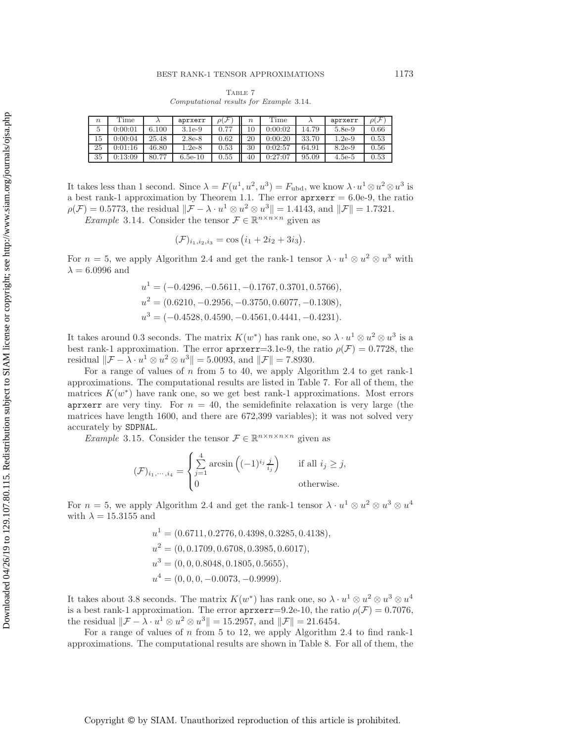<span id="page-18-1"></span>Table 7 *Computational results for Example* [3.14](#page-18-0)*.*

| $\boldsymbol{n}$ | Time    |       | aprxerr   | $\mathcal{F}$<br>ρl | $\boldsymbol{n}$ | Time    |       | aprxerr  | $\rho(\mathcal{F})$ |
|------------------|---------|-------|-----------|---------------------|------------------|---------|-------|----------|---------------------|
| 5                | 0:00:01 | 6.100 | $3.1e-9$  | 0.77                | 10               | 0:00:02 | 14.79 | $5.8e-9$ | 0.66                |
| 15               | 0:00:04 | 25.48 | $2.8e-8$  | 0.62                | 20               | 0:00:20 | 33.70 | $1.2e-9$ | 0.53                |
| 25               | 0:01:16 | 46.80 | $1.2e-8$  | 0.53                | 30               | 0:02:57 | 64.91 | $8.2e-9$ | 0.56                |
| 35               | 0:13:09 | 80.77 | $6.5e-10$ | 0.55                | 40               | 0:27:07 | 95.09 | $4.5e-5$ | 0.53                |

It takes less than 1 second. Since  $\lambda = F(u^1, u^2, u^3) = F_{\text{ubd}}$ , we know  $\lambda \cdot u^1 \otimes u^2 \otimes u^3$  is a best rank-1 approximation by Theorem [1.1.](#page-1-3) The error  $aprxer r = 6.0e-9$ , the ratio  $\rho(\mathcal{F})=0.5773$ , the residual  $\|\mathcal{F} - \lambda \cdot u^1 \otimes u^2 \otimes u^3\| = 1.4143$ , and  $\|\mathcal{F}\| = 1.7321$ .

<span id="page-18-0"></span>*Example* 3.14. Consider the tensor  $\mathcal{F} \in \mathbb{R}^{n \times n \times n}$  given as

$$
(\mathcal{F})_{i_1,i_2,i_3} = \cos (i_1 + 2i_2 + 3i_3).
$$

For  $n = 5$ , we apply Algorithm [2.4](#page-10-2) and get the rank-1 tensor  $\lambda \cdot u^1 \otimes u^2 \otimes u^3$  with  $\lambda = 6.0996$  and

$$
u1 = (-0.4296, -0.5611, -0.1767, 0.3701, 0.5766),
$$
  
\n
$$
u2 = (0.6210, -0.2956, -0.3750, 0.6077, -0.1308),
$$
  
\n
$$
u3 = (-0.4528, 0.4590, -0.4561, 0.4441, -0.4231).
$$

It takes around 0.3 seconds. The matrix  $K(w^*)$  has rank one, so  $\lambda \cdot u^1 \otimes u^2 \otimes u^3$  is a best rank-1 approximation. The error  $aprxerr=3.1e-9$ , the ratio  $\rho(\mathcal{F})=0.7728$ , the residual  $\|\mathcal{F} - \lambda \cdot u^1 \otimes u^2 \otimes u^3\| = 5.0093$ , and  $\|\mathcal{F}\| = 7.8930$ .

For a range of values of  $n$  from 5 to 40, we apply Algorithm [2.4](#page-10-2) to get rank-1 approximations. The computational results are listed in Table [7.](#page-18-1) For all of them, the matrices  $K(w^*)$  have rank one, so we get best rank-1 approximations. Most errors aprxerr are very tiny. For  $n = 40$ , the semidefinite relaxation is very large (the matrices have length 1600, and there are 672,399 variables); it was not solved very accurately by SDPNAL.

<span id="page-18-2"></span>*Example* 3.15. Consider the tensor  $\mathcal{F} \in \mathbb{R}^{n \times n \times n \times n}$  given as

$$
(\mathcal{F})_{i_1,\dots,i_4} = \begin{cases} \sum_{j=1}^4 \arcsin\left((-1)^{i_j} \frac{j}{i_j}\right) & \text{if all } i_j \ge j, \\ 0 & \text{otherwise.} \end{cases}
$$

For  $n = 5$ , we apply Algorithm [2.4](#page-10-2) and get the rank-1 tensor  $\lambda \cdot u^1 \otimes u^2 \otimes u^3 \otimes u^4$ with  $\lambda = 15.3155$  and

$$
u1 = (0.6711, 0.2776, 0.4398, 0.3285, 0.4138),
$$
  
\n
$$
u2 = (0, 0.1709, 0.6708, 0.3985, 0.6017),
$$
  
\n
$$
u3 = (0, 0, 0.8048, 0.1805, 0.5655),
$$
  
\n
$$
u4 = (0, 0, 0, -0.0073, -0.9999).
$$

It takes about 3.8 seconds. The matrix  $K(w^*)$  has rank one, so  $\lambda \cdot u^1 \otimes u^2 \otimes u^3 \otimes u^4$ is a best rank-1 approximation. The error  $\text{aprxerr}=9.2e-10$ , the ratio  $\rho(\mathcal{F})=0.7076$ , the residual  $\|\mathcal{F} - \lambda \cdot u^1 \otimes u^2 \otimes u^3 \| = 15.2957$ , and  $\|\mathcal{F}\| = 21.6454$ .

For a range of values of n from 5 to 12, we apply Algorithm [2.4](#page-10-2) to find rank-1 approximations. The computational results are shown in Table [8.](#page-19-0) For all of them, the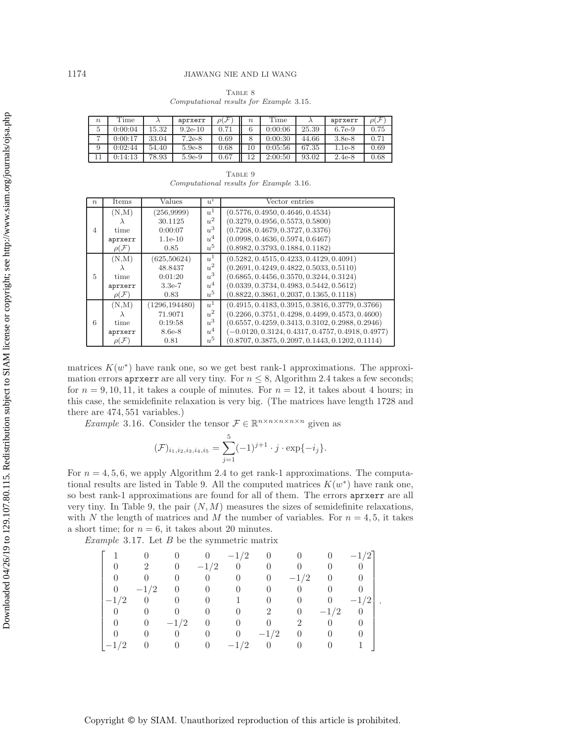| $\boldsymbol{n}$ | Time    |       | aprxerr   | $\rho(\mathcal{F}% _{\alpha}^{\ast})=\rho(\mathcal{F}_{\alpha}^{\alpha})^{2}$ | $\boldsymbol{n}$ | Time    |       | aprxerr  | $\rho(\mathcal{F})$ |
|------------------|---------|-------|-----------|-------------------------------------------------------------------------------|------------------|---------|-------|----------|---------------------|
| 5.               | 0:00:04 | 5.32  | $9.2e-10$ | 0.71                                                                          | 6                | 0:00:06 | 25.39 | $6.7e-9$ | 0.75                |
| ⇁                | 0:00:17 | 33.04 | $7.2e-8$  | 0.69                                                                          | 8                | 0:00:30 | 44.66 | $3.8e-8$ | 0.71                |
|                  | 0:02:44 | 54.40 | $5.9e-8$  | 0.68                                                                          | 10               | 0:05:56 | 67.35 | $1.1e-8$ | 0.69                |
|                  | 0:14:13 | 78.93 | $5.9e-9$  | 0.67                                                                          | 12               | 2:00:50 | 93.02 | $2.4e-8$ | 0.68                |

<span id="page-19-0"></span>TABLE 8 *Computational results for Example* [3.15](#page-18-2)*.*

<span id="page-19-2"></span>

|                                         | TABLE 9 |  |  |
|-----------------------------------------|---------|--|--|
| Computational results for Example 3.16. |         |  |  |

| $n_{\rm c}$ | Items               | Values         | $u^i$ | Vector entries                                      |
|-------------|---------------------|----------------|-------|-----------------------------------------------------|
|             | (N,M)               | (256,9999)     | $u^1$ | (0.5776, 0.4950, 0.4646, 0.4534)                    |
|             |                     | 30.1125        | $u^2$ | (0.3279, 0.4956, 0.5573, 0.5800)                    |
| 4           | time                | 0:00:07        | $u^3$ | (0.7268, 0.4679, 0.3727, 0.3376)                    |
|             | aprxerr             | $1.1e-10$      | $u^4$ | (0.0998, 0.4636, 0.5974, 0.6467)                    |
|             | $\rho(\mathcal{F})$ | 0.85           | $u^5$ | (0.8982, 0.3793, 0.1884, 0.1182)                    |
|             | (N,M)               | (625,50624)    | $u^1$ | $(0.5282, 0.4515, 0.4233, 0.4129, 0.4091)$          |
|             |                     | 48.8437        | $u^2$ | $(0.2691, 0.4249, 0.4822, 0.5033, 0.5110)$          |
| 5           | time                | 0:01:20        | $u^3$ | $(0.6865, 0.4456, 0.3570, 0.3244, 0.3124)$          |
|             | aprxerr             | $3.3e-7$       | $u^4$ | $(0.0339, 0.3734, 0.4983, 0.5442, 0.5612)$          |
|             | $\rho(\mathcal{F})$ | 0.83           | $u^5$ | $(0.8822, 0.3861, 0.2037, 0.1365, 0.1118)$          |
|             | (N,M)               | (1296, 194480) | $u^1$ | $(0.4915, 0.4183, 0.3915, 0.3816, 0.3779, 0.3766)$  |
|             |                     | 71.9071        | $u^2$ | $(0.2266, 0.3751, 0.4298, 0.4499, 0.4573, 0.4600)$  |
| 6           | time                | 0:19:58        | $u^3$ | $(0.6557, 0.4259, 0.3413, 0.3102, 0.2988, 0.2946)$  |
|             | aprxerr             | 8.6e-8         | $u^4$ | $(-0.0120, 0.3124, 0.4317, 0.4757, 0.4918, 0.4977)$ |
|             | $\rho(\mathcal{F})$ | 0.81           | $u^5$ | $(0.8707, 0.3875, 0.2097, 0.1443, 0.1202, 0.1114)$  |

matrices  $K(w^*)$  have rank one, so we get best rank-1 approximations. The approximation errors apring and very tiny. For  $n \leq 8$ , Algorithm [2.4](#page-10-2) takes a few seconds; for  $n = 9, 10, 11$ , it takes a couple of minutes. For  $n = 12$ , it takes about 4 hours; in this case, the semidefinite relaxation is very big. (The matrices have length 1728 and there are 474, 551 variables.)

<span id="page-19-1"></span>*Example* 3.16. Consider the tensor  $\mathcal{F} \in \mathbb{R}^{n \times n \times n \times n \times n}$  given as

$$
(\mathcal{F})_{i_1,i_2,i_3,i_4,i_5} = \sum_{j=1}^5 (-1)^{j+1} \cdot j \cdot \exp\{-i_j\}.
$$

For  $n = 4, 5, 6$ , we apply Algorithm [2.4](#page-10-2) to get rank-1 approximations. The computa-tional results are listed in Table [9.](#page-19-2) All the computed matrices  $K(w^*)$  have rank one, so best rank-1 approximations are found for all of them. The errors aprxerr are all very tiny. In Table [9,](#page-19-2) the pair  $(N, M)$  measures the sizes of semidefinite relaxations, with N the length of matrices and M the number of variables. For  $n = 4, 5$ , it takes a short time; for  $n = 6$ , it takes about 20 minutes.

*Example* 3.17. Let B be the symmetric matrix

|          |                |                    |                   | $-1/2$         | $\begin{array}{cc} & 0 \end{array}$ |                |        | $-1/2$   |  |
|----------|----------------|--------------------|-------------------|----------------|-------------------------------------|----------------|--------|----------|--|
|          |                | -0                 | $-1/2$            | $\overline{0}$ |                                     |                |        |          |  |
|          |                |                    | $\overline{0}$    | $\theta$       | $\theta$                            | $-1/2$         | $\cup$ |          |  |
| $\Omega$ | $-1/2$         | $\hspace{0.1em} 0$ |                   |                |                                     |                |        |          |  |
| $-1/2$   | $\overline{0}$ |                    |                   |                |                                     |                |        | $-1/2$   |  |
|          |                |                    |                   |                |                                     | $\overline{0}$ | $-1/2$ | $\theta$ |  |
| $\theta$ | $\theta$       | $-1/2$             | $\hspace{1.6cm}0$ |                |                                     |                |        |          |  |
|          |                |                    |                   | $\theta$       | $-1/2$                              |                |        |          |  |
|          |                |                    |                   | $-1/2$         |                                     |                |        |          |  |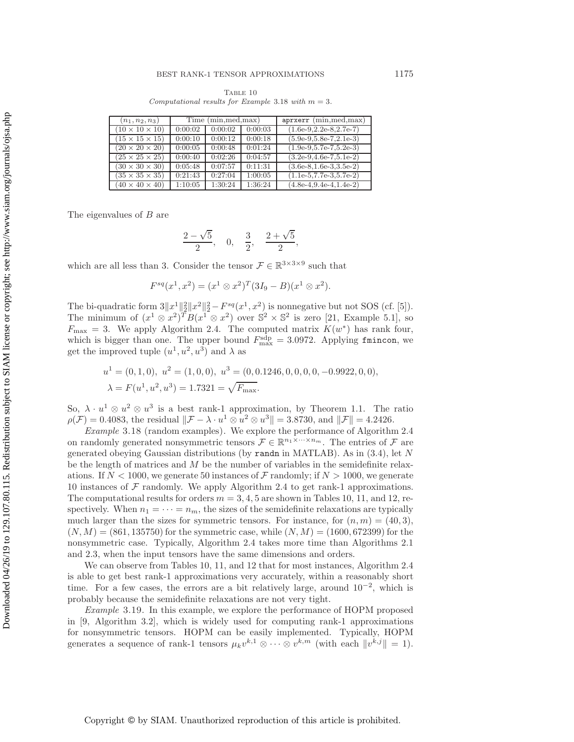<span id="page-20-1"></span>TABLE 10 *Computational results for Example* [3.18](#page-20-0) *with*  $m = 3$ *.* 

| $(n_1, n_2, n_3)$          | Time (min, med, max) |         |         | $aprxerr$ (min, med, max)  |  |
|----------------------------|----------------------|---------|---------|----------------------------|--|
| $(10 \times 10 \times 10)$ | 0:00:02              | 0:00:02 | 0:00:03 | $(1.6e-9.2.2e-8.2.7e-7)$   |  |
| $(15 \times 15 \times 15)$ | 0:00:10              | 0:00:12 | 0:00:18 | $(5.9e-9.5.8e-7.2.1e-3)$   |  |
| $(20 \times 20 \times 20)$ | 0:00:05              | 0:00:48 | 0:01:24 | $(1.9e-9.5.7e-7.5.2e-3)$   |  |
| $(25 \times 25 \times 25)$ | 0:00:40              | 0:02:26 | 0:04:57 | $(3.2e-9, 4.6e-7, 5.1e-2)$ |  |
| $(30 \times 30 \times 30)$ | 0:05:48              | 0:07:57 | 0:11:31 | $(3.6e-8.1.6e-3.3.5e-2)$   |  |
| $(35 \times 35 \times 35)$ | 0:21:43              | 0:27:04 | 1:00:05 | $(1.1e-5.7.7e-3.5.7e-2)$   |  |
| $(40 \times 40 \times 40)$ | 1:10:05              | 1:30:24 | 1:36:24 | $(4.8e-4.9.4e-4.1.4e-2)$   |  |

The eigenvalues of B are

$$
\frac{2-\sqrt{5}}{2}, \quad 0, \quad \frac{3}{2}, \quad \frac{2+\sqrt{5}}{2},
$$

which are all less than 3. Consider the tensor  $\mathcal{F} \in \mathbb{R}^{3 \times 3 \times 9}$  such that

$$
F^{sq}(x^1, x^2) = (x^1 \otimes x^2)^T (3I_9 - B)(x^1 \otimes x^2).
$$

The bi-quadratic form  $3||x^1||_2^2||x^2||_2^2 - F^{sq}(x^1, x^2)$  is nonnegative but not SOS (cf. [\[5\]](#page-23-20)). The minimum of  $(x^1 \otimes x^2)^T B(x^1 \otimes x^2)$  over  $\mathbb{S}^2 \times \mathbb{S}^2$  is zero [\[21,](#page-23-21) Example 5.1], so  $F_{\text{max}} = 3$ . We apply Algorithm [2.4.](#page-10-2) The computed matrix  $K(w^*)$  has rank four, which is bigger than one. The upper bound  $F_{\text{max}}^{\text{sdp}} = 3.0972$ . Applying finincon, we get the improved tuple  $(u^1, u^2, u^3)$  and  $\lambda$  as

$$
u^1 = (0, 1, 0), u^2 = (1, 0, 0), u^3 = (0, 0.1246, 0, 0, 0, 0, -0.9922, 0, 0),
$$
  

$$
\lambda = F(u^1, u^2, u^3) = 1.7321 = \sqrt{F_{\text{max}}}.
$$

So,  $\lambda \cdot u^1 \otimes u^2 \otimes u^3$  is a best rank-1 approximation, by Theorem [1.1.](#page-1-3) The ratio  $\rho(\mathcal{F})=0.4083$ , the residual  $\|\mathcal{F} - \lambda \cdot u^1 \otimes u^2 \otimes u^3\| = 3.8730$ , and  $\|\mathcal{F}\| = 4.2426$ .

<span id="page-20-0"></span>*Example* 3.18 (random examples). We explore the performance of Algorithm [2.4](#page-10-2) on randomly generated nonsymmetric tensors  $\mathcal{F} \in \mathbb{R}^{n_1 \times \cdots \times n_m}$ . The entries of  $\mathcal F$  are generated obeying Gaussian distributions (by randn in MATLAB). As in [\(3.4\)](#page-14-2), let N be the length of matrices and  $M$  be the number of variables in the semidefinite relaxations. If  $N < 1000$ , we generate 50 instances of F randomly; if  $N > 1000$ , we generate 10 instances of  $\mathcal F$  randomly. We apply Algorithm [2.4](#page-10-2) to get rank-1 approximations. The computational results for orders  $m = 3, 4, 5$  are shown in Tables [10,](#page-20-1) [11,](#page-21-0) and [12,](#page-21-1) respectively. When  $n_1 = \cdots = n_m$ , the sizes of the semidefinite relaxations are typically much larger than the sizes for symmetric tensors. For instance, for  $(n, m) = (40, 3)$ ,  $(N, M) = (861, 135750)$  for the symmetric case, while  $(N, M) = (1600, 672399)$  for the nonsymmetric case. Typically, Algorithm [2.4](#page-10-2) takes more time than Algorithms [2.1](#page-6-0) and [2.3,](#page-8-0) when the input tensors have the same dimensions and orders.

We can observe from Tables [10,](#page-20-1) [11,](#page-21-0) and [12](#page-21-1) that for most instances, Algorithm [2.4](#page-10-2) is able to get best rank-1 approximations very accurately, within a reasonably short time. For a few cases, the errors are a bit relatively large, around  $10^{-2}$ , which is probably because the semidefinite relaxations are not very tight.

<span id="page-20-2"></span>*Example* 3.19. In this example, we explore the performance of HOPM proposed in [\[9,](#page-23-9) Algorithm 3.2], which is widely used for computing rank-1 approximations for nonsymmetric tensors. HOPM can be easily implemented. Typically, HOPM generates a sequence of rank-1 tensors  $\mu_k v^{k,1} \otimes \cdots \otimes v^{k,m}$  (with each  $||v^{k,j}|| = 1$ ).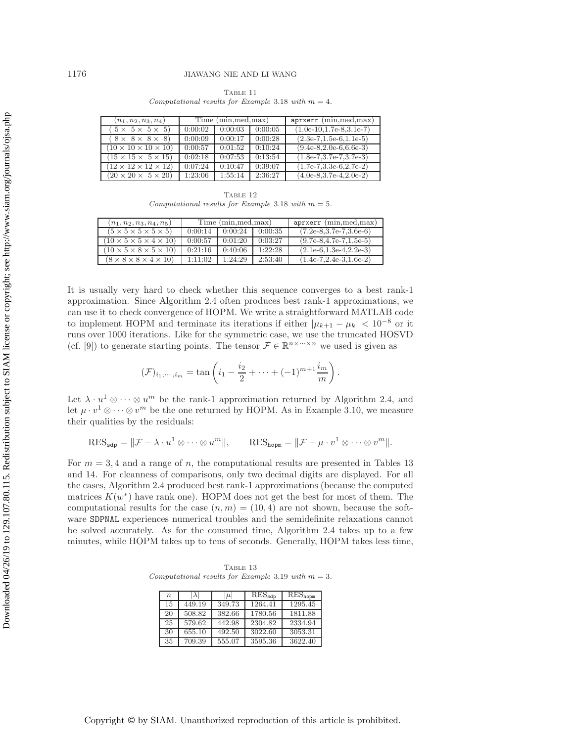| $(n_1, n_2, n_3, n_4)$               | Time (min, med, max) |         |         | $aprxerr$ (min, med, max)           |
|--------------------------------------|----------------------|---------|---------|-------------------------------------|
| $(5 \times 5 \times 5 \times 5)$     | 0:00:02              | 0:00:03 | 0:00:05 | $(1.0e-10.1.7e-8.3.1e-7)$           |
| $8 \times 8 \times 8 \times 8$       | 0:00:09              | 0:00:17 | 0:00:28 | $(2.3e-7,1.5e-6,1.1e-5)$            |
| $(10 \times 10 \times 10 \times 10)$ | 0:00:57              | 0:01:52 | 0:10:24 | $(9.4e-8.2.0e-6.6.6e-3)$            |
| $(15 \times 15 \times 5 \times 15)$  | 0:02:18              | 0:07:53 | 0:13:54 | $\overline{(1.8e-7,3.7e-7,3.7e-3)}$ |
| $(12 \times 12 \times 12 \times 12)$ | 0:07:24              | 0:10:47 | 0:39:07 | $(1.7e-7, 3.3e-6, 2.7e-2)$          |
| $(20 \times 20 \times 5 \times 20)$  | 1:23:06              | 1:55:14 | 2:36:27 | $(4.0e-8.3.7e-4.2.0e-2)$            |

<span id="page-21-0"></span>Table 11 *Computational results for Example* [3.18](#page-20-0) *with*  $m = 4$ *.* 

<span id="page-21-1"></span>TABLE 12 *Computational results for Example* [3.18](#page-20-0) *with* m = 5*.*

| $(n_1, n_2, n_3, n_4, n_5)$                 | Time (min.med.max) |         |         | aprxerr (min, med, max)  |
|---------------------------------------------|--------------------|---------|---------|--------------------------|
| $(5 \times 5 \times 5 \times 5 \times 5)$   | 0:00:14            | 0:00:24 | 0:00:35 | $(7.2e-8.3.7e-7.3.6e-6)$ |
| $(10 \times 5 \times 5 \times 4 \times 10)$ | 0:00:57            | 0:01:20 | 0:03:27 | $(9.7e-8.4.7e-7.1.5e-5)$ |
| $(10 \times 5 \times 8 \times 5 \times 10)$ | 0:21:16            | 0:40:06 | 1:22:28 | $(2.1e-6.1.3e-4.2.2e-3)$ |
| $(8 \times 8 \times 8 \times 4 \times 10)$  | 1:11:02            | 1:24:29 | 2:53:40 | $(1.4e-7.2.4e-3.1.6e-2)$ |

It is usually very hard to check whether this sequence converges to a best rank-1 approximation. Since Algorithm [2.4](#page-10-2) often produces best rank-1 approximations, we can use it to check convergence of HOPM. We write a straightforward MATLAB code to implement HOPM and terminate its iterations if either  $|\mu_{k+1} - \mu_k| < 10^{-8}$  or it runs over 1000 iterations. Like for the symmetric case, we use the truncated HOSVD (cf. [\[9\]](#page-23-9)) to generate starting points. The tensor  $\mathcal{F} \in \mathbb{R}^{n \times \cdots \times n}$  we used is given as

$$
(F)_{i_1,\dots,i_m} = \tan\left(i_1 - \frac{i_2}{2} + \dots + (-1)^{m+1}\frac{i_m}{m}\right)
$$

.

Let  $\lambda \cdot u^1 \otimes \cdots \otimes u^m$  be the rank-1 approximation returned by Algorithm [2.4,](#page-10-2) and let  $\mu \cdot v^1 \otimes \cdots \otimes v^m$  be the one returned by HOPM. As in Example [3.10,](#page-15-1) we measure their qualities by the residuals:

$$
\text{RES}_{\text{sdp}} = \|\mathcal{F} - \lambda \cdot u^1 \otimes \cdots \otimes u^m\|, \qquad \text{RES}_{\text{hopp}} = \|\mathcal{F} - \mu \cdot v^1 \otimes \cdots \otimes v^m\|.
$$

For  $m = 3, 4$  and a range of n, the computational results are presented in Tables [13](#page-21-2) and [14.](#page-22-1) For cleanness of comparisons, only two decimal digits are displayed. For all the cases, Algorithm [2.4](#page-10-2) produced best rank-1 approximations (because the computed matrices  $K(w^*)$  have rank one). HOPM does not get the best for most of them. The computational results for the case  $(n, m) = (10, 4)$  are not shown, because the software SDPNAL experiences numerical troubles and the semidefinite relaxations cannot be solved accurately. As for the consumed time, Algorithm [2.4](#page-10-2) takes up to a few minutes, while HOPM takes up to tens of seconds. Generally, HOPM takes less time,

TABLE 13 *Computational results for Example* [3.19](#page-20-2) *with*  $m = 3$ *.* 

<span id="page-21-2"></span>

| $\eta$ | $\lambda$ | $\mu$  | $RES_{\texttt{sdb}}$ | $\overline{\mathrm{RES}}_{\text{hopm}}$ |
|--------|-----------|--------|----------------------|-----------------------------------------|
| 15     | 449.19    | 349.73 | 1264.41              | 1295.45                                 |
| 20     | 508.82    | 382.66 | 1780.56              | 1811.88                                 |
| 25     | 579.62    | 442.98 | 2304.82              | 2334.94                                 |
| 30     | 655.10    | 492.50 | 3022.60              | 3053.31                                 |
| 35     | 709.39    | 555.07 | 3595.36              | 3622.40                                 |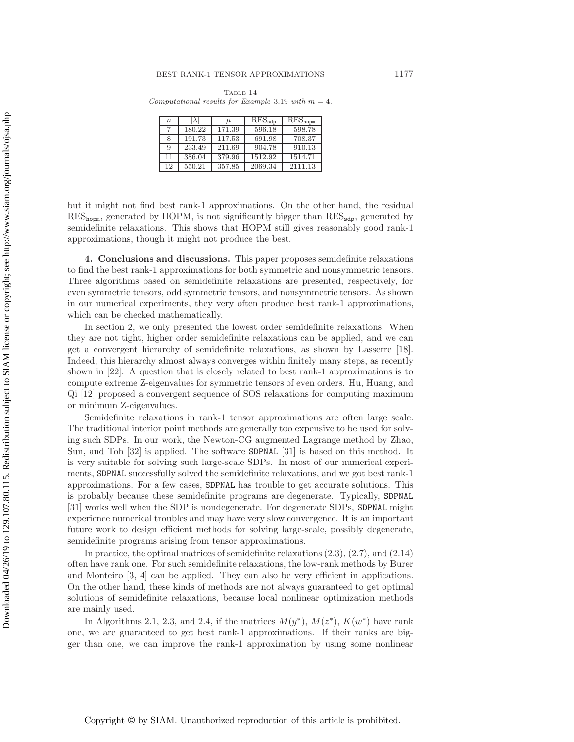TABLE 14 *Computational results for Example* [3.19](#page-20-2) *with*  $m = 4$ *.* 

<span id="page-22-1"></span>

| $\eta$ |        | $ \mu $ | $RES_{\texttt{sdb}}$ | $RES_{\text{hopm}}$ |
|--------|--------|---------|----------------------|---------------------|
|        | 180.22 | 171.39  | 596.18               | 598.78              |
|        | 191.73 | 117.53  | 691.98               | 708.37              |
| Q      | 233.49 | 211.69  | 904.78               | 910.13              |
| 11     | 386.04 | 379.96  | 1512.92              | 1514.71             |
| 12     | 550.21 | 357.85  | 2069.34              | 2111.13             |

but it might not find best rank-1 approximations. On the other hand, the residual  $RES_{\text{hoppn}}$ , generated by HOPM, is not significantly bigger than  $RES_{\text{sdp}}$ , generated by semidefinite relaxations. This shows that HOPM still gives reasonably good rank-1 approximations, though it might not produce the best.

<span id="page-22-0"></span>**4. Conclusions and discussions.** This paper proposes semidefinite relaxations to find the best rank-1 approximations for both symmetric and nonsymmetric tensors. Three algorithms based on semidefinite relaxations are presented, respectively, for even symmetric tensors, odd symmetric tensors, and nonsymmetric tensors. As shown in our numerical experiments, they very often produce best rank-1 approximations, which can be checked mathematically.

In section [2,](#page-3-0) we only presented the lowest order semidefinite relaxations. When they are not tight, higher order semidefinite relaxations can be applied, and we can get a convergent hierarchy of semidefinite relaxations, as shown by Lasserre [\[18\]](#page-23-13). Indeed, this hierarchy almost always converges within finitely many steps, as recently shown in [\[22\]](#page-23-22). A question that is closely related to best rank-1 approximations is to compute extreme Z-eigenvalues for symmetric tensors of even orders. Hu, Huang, and Qi [\[12\]](#page-23-12) proposed a convergent sequence of SOS relaxations for computing maximum or minimum Z-eigenvalues.

Semidefinite relaxations in rank-1 tensor approximations are often large scale. The traditional interior point methods are generally too expensive to be used for solving such SDPs. In our work, the Newton-CG augmented Lagrange method by Zhao, Sun, and Toh [\[32\]](#page-24-4) is applied. The software SDPNAL [\[31\]](#page-24-6) is based on this method. It is very suitable for solving such large-scale SDPs. In most of our numerical experiments, SDPNAL successfully solved the semidefinite relaxations, and we got best rank-1 approximations. For a few cases, SDPNAL has trouble to get accurate solutions. This is probably because these semidefinite programs are degenerate. Typically, SDPNAL [\[31\]](#page-24-6) works well when the SDP is nondegenerate. For degenerate SDPs, SDPNAL might experience numerical troubles and may have very slow convergence. It is an important future work to design efficient methods for solving large-scale, possibly degenerate, semidefinite programs arising from tensor approximations.

In practice, the optimal matrices of semidefinite relaxations [\(2.3\)](#page-4-1), [\(2.7\)](#page-5-2), and [\(2.14\)](#page-9-0) often have rank one. For such semidefinite relaxations, the low-rank methods by Burer and Monteiro [\[3,](#page-23-23) [4\]](#page-23-24) can be applied. They can also be very efficient in applications. On the other hand, these kinds of methods are not always guaranteed to get optimal solutions of semidefinite relaxations, because local nonlinear optimization methods are mainly used.

In Algorithms [2.1,](#page-6-0) [2.3,](#page-8-0) and [2.4,](#page-10-2) if the matrices  $M(y^*)$ ,  $M(z^*)$ ,  $K(w^*)$  have rank one, we are guaranteed to get best rank-1 approximations. If their ranks are bigger than one, we can improve the rank-1 approximation by using some nonlinear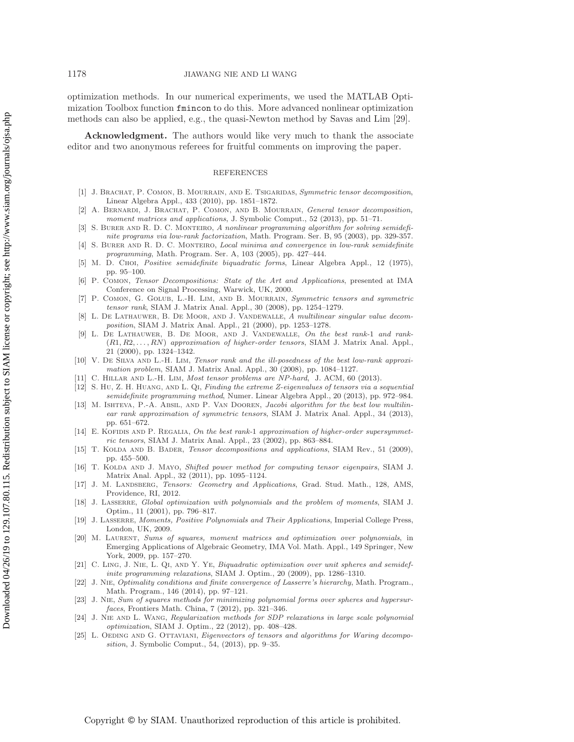optimization methods. In our numerical experiments, we used the MATLAB Optimization Toolbox function fmincon to do this. More advanced nonlinear optimization methods can also be applied, e.g., the quasi-Newton method by Savas and Lim [\[29\]](#page-24-1).

**Acknowledgment.** The authors would like very much to thank the associate editor and two anonymous referees for fruitful comments on improving the paper.

### REFERENCES

- <span id="page-23-5"></span>[1] J. Brachat, P. Comon, B. Mourrain, and E. Tsigaridas, *Symmetric tensor decomposition*, Linear Algebra Appl., 433 (2010), pp. 1851–1872.
- <span id="page-23-6"></span>[2] A. Bernardi, J. Brachat, P. Comon, and B. Mourrain, *General tensor decomposition, moment matrices and applications*, J. Symbolic Comput., 52 (2013), pp. 51–71.
- <span id="page-23-23"></span>S. BURER AND R. D. C. MONTEIRO, *A nonlinear programming algorithm for solving semidefinite programs via low-rank factorization*, Math. Program. Ser. B, 95 (2003), pp. 329-357.
- <span id="page-23-24"></span>[4] S. Burer and R. D. C. Monteiro, *Local minima and convergence in low-rank semidefinite programming*, Math. Program. Ser. A, 103 (2005), pp. 427–444.
- <span id="page-23-20"></span>[5] M. D. Choi, *Positive semidefinite biquadratic forms*, Linear Algebra Appl., 12 (1975), pp. 95–100.
- <span id="page-23-0"></span>[6] P. Comon, *Tensor Decompositions: State of the Art and Applications*, presented at IMA Conference on Signal Processing, Warwick, UK, 2000.
- <span id="page-23-1"></span>[7] P. Comon, G. Golub, L.-H. Lim, and B. Mourrain, *Symmetric tensors and symmetric tensor rank*, SIAM J. Matrix Anal. Appl., 30 (2008), pp. 1254–1279.
- <span id="page-23-10"></span>[8] L. De Lathauwer, B. De Moor, and J. Vandewalle, *A multilinear singular value decomposition*, SIAM J. Matrix Anal. Appl., 21 (2000), pp. 1253–1278.
- <span id="page-23-9"></span>[9] L. De Lathauwer, B. De Moor, and J. Vandewalle, *On the best rank-*1 *and rank-* (R1, R2, . . . , RN) *approximation of higher-order tensors*, SIAM J. Matrix Anal. Appl., 21 (2000), pp. 1324–1342.
- <span id="page-23-8"></span>[10] V. DE SILVA AND L.-H. LIM, *Tensor rank and the ill-posedness of the best low-rank approximation problem*, SIAM J. Matrix Anal. Appl., 30 (2008), pp. 1084–1127.
- <span id="page-23-12"></span><span id="page-23-4"></span>[11] C. Hillar and L.-H. Lim, *Most tensor problems are NP-hard*, J. ACM, 60 (2013).
- [12] S. Hu, Z. H. Huang, and L. Qi, *Finding the extreme Z-eigenvalues of tensors via a sequential semidefinite programming method*, Numer. Linear Algebra Appl., 20 (2013), pp. 972–984.
- <span id="page-23-19"></span>[13] M. Ishteva, P.-A. Absil, and P. Van Dooren, *Jacobi algorithm for the best low multilinear rank approximation of symmetric tensors*, SIAM J. Matrix Anal. Appl., 34 (2013), pp. 651–672.
- <span id="page-23-11"></span>[14] E. KOFIDIS AND P. REGALIA, On the best rank-1 approximation of higher-order supersymmet*ric tensors*, SIAM J. Matrix Anal. Appl., 23 (2002), pp. 863–884.
- <span id="page-23-2"></span>[15] T. Kolda and B. Bader, *Tensor decompositions and applications*, SIAM Rev., 51 (2009), pp. 455–500.
- <span id="page-23-18"></span>[16] T. KOLDA AND J. MAYO, *Shifted power method for computing tensor eigenpairs*, SIAM J. Matrix Anal. Appl., 32 (2011), pp. 1095–1124.
- <span id="page-23-3"></span>[17] J. M. Landsberg, *Tensors: Geometry and Applications*, Grad. Stud. Math., 128, AMS, Providence, RI, 2012.
- <span id="page-23-13"></span>[18] J. Lasserre, *Global optimization with polynomials and the problem of moments*, SIAM J. Optim., 11 (2001), pp. 796–817.
- <span id="page-23-15"></span>[19] J. Lasserre, *Moments, Positive Polynomials and Their Applications*, Imperial College Press, London, UK, 2009.
- <span id="page-23-16"></span>[20] M. Laurent, *Sums of squares, moment matrices and optimization over polynomials*, in Emerging Applications of Algebraic Geometry, IMA Vol. Math. Appl., 149 Springer, New York, 2009, pp. 157–270.
- <span id="page-23-21"></span>[21] C. Ling, J. Nie, L. Qi, and Y. Ye, *Biquadratic optimization over unit spheres and semidefinite programming relaxations*, SIAM J. Optim., 20 (2009), pp. 1286–1310.
- <span id="page-23-22"></span>[22] J. Nie, *Optimality conditions and finite convergence of Lasserre's hierarchy*, Math. Program., Math. Program., 146 (2014), pp. 97–121.
- <span id="page-23-17"></span>[23] J. Nie, *Sum of squares methods for minimizing polynomial forms over spheres and hypersurfaces*, Frontiers Math. China, 7 (2012), pp. 321–346.
- <span id="page-23-14"></span>[24] J. Nie and L. Wang, *Regularization methods for SDP relaxations in large scale polynomial optimization*, SIAM J. Optim., 22 (2012), pp. 408–428.
- <span id="page-23-7"></span>[25] L. OEDING AND G. OTTAVIANI, *Eigenvectors of tensors and algorithms for Waring decomposition*, J. Symbolic Comput., 54, (2013), pp. 9–35.